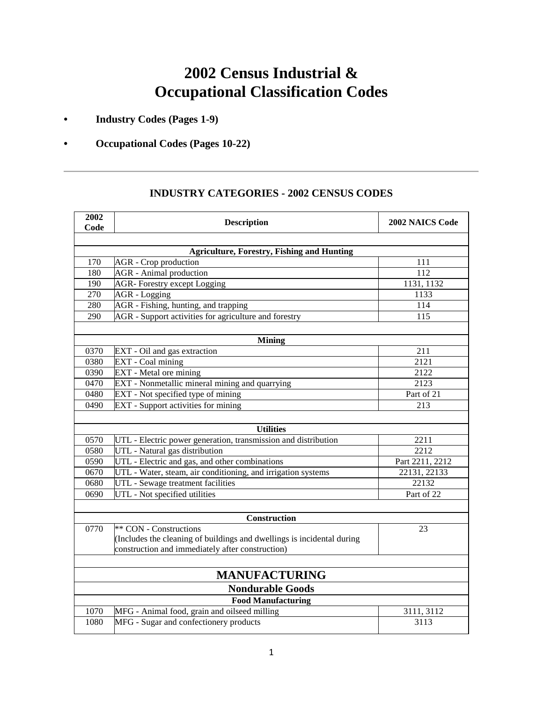# **2002 Census Industrial & Occupational Classification Codes**

**• Industry Codes (Pages 1-9)**

### **• Occupational Codes (Pages 10-22)**

## **2002 Code Description 2002 NAICS Code Agriculture, Forestry, Fishing and Hunting** 170 AGR - Crop production 111 180 AGR - Animal production 112 190 AGR- Forestry except Logging 1131, 1132 270 AGR - Logging 1133 280 AGR - Fishing, hunting, and trapping 114 290 AGR - Support activities for agriculture and forestry 115 **Mining** 0370 EXT - Oil and gas extraction 211 0380 **EXT** - Coal mining 2121 0390 EXT - Metal ore mining 2122 0470 EXT - Nonmetallic mineral mining and quarrying and  $\frac{2123}{2}$ 0480 EXT - Not specified type of mining Part of 21 0490 EXT - Support activities for mining 213 **Utilities** 0570 UTL - Electric power generation, transmission and distribution 2211 0580 UTL - Natural gas distribution 2212 0590 UTL - Electric and gas, and other combinations Part 2211, 2212 0670 UTL - Water, steam, air conditioning, and irrigation systems 22131, 22133 0680 UTL - Sewage treatment facilities 22132 0690 UTL - Not specified utilities Part of 22 **Construction** 0770 \*\* CON - Constructions (Includes the cleaning of buildings and dwellings is incidental during construction and immediately after construction) 23 **MANUFACTURING Nondurable Goods Food Manufacturing** 1070 MFG - Animal food, grain and oilseed milling 3111, 3112 1080 MFG - Sugar and confectionery products 3113

### **INDUSTRY CATEGORIES - 2002 CENSUS CODES**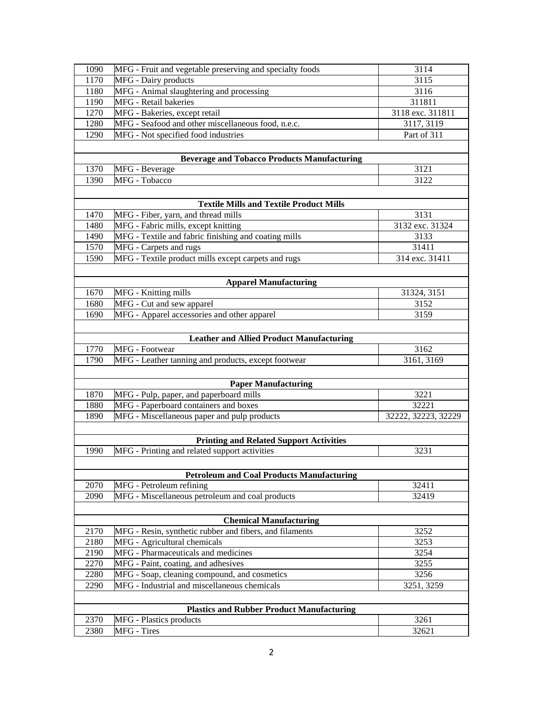| 1090                                             | MFG - Fruit and vegetable preserving and specialty foods | 3114                |  |  |
|--------------------------------------------------|----------------------------------------------------------|---------------------|--|--|
| 1170                                             | MFG - Dairy products                                     | 3115                |  |  |
| 1180                                             | MFG - Animal slaughtering and processing                 | 3116                |  |  |
| 1190                                             | MFG - Retail bakeries                                    | 311811              |  |  |
| 1270                                             | MFG - Bakeries, except retail                            | 3118 exc. 311811    |  |  |
| 1280                                             | MFG - Seafood and other miscellaneous food, n.e.c.       | 3117, 3119          |  |  |
| 1290                                             | MFG - Not specified food industries                      | Part of 311         |  |  |
|                                                  |                                                          |                     |  |  |
|                                                  | <b>Beverage and Tobacco Products Manufacturing</b>       |                     |  |  |
| 1370                                             | MFG - Beverage                                           | 3121                |  |  |
| 1390                                             | MFG - Tobacco                                            | 3122                |  |  |
|                                                  |                                                          |                     |  |  |
|                                                  | <b>Textile Mills and Textile Product Mills</b>           |                     |  |  |
| 1470                                             | MFG - Fiber, yarn, and thread mills                      | 3131                |  |  |
| 1480                                             | MFG - Fabric mills, except knitting                      | 3132 exc. 31324     |  |  |
| 1490                                             | MFG - Textile and fabric finishing and coating mills     | 3133                |  |  |
| 1570                                             | MFG - Carpets and rugs                                   | 31411               |  |  |
| 1590                                             | MFG - Textile product mills except carpets and rugs      | 314 exc. 31411      |  |  |
|                                                  |                                                          |                     |  |  |
|                                                  | <b>Apparel Manufacturing</b>                             |                     |  |  |
| 1670                                             | MFG - Knitting mills                                     | 31324, 3151         |  |  |
| 1680                                             | MFG - Cut and sew apparel                                | 3152                |  |  |
| 1690                                             | MFG - Apparel accessories and other apparel              | 3159                |  |  |
|                                                  |                                                          |                     |  |  |
| <b>Leather and Allied Product Manufacturing</b>  |                                                          |                     |  |  |
| 1770                                             | MFG - Footwear                                           | 3162                |  |  |
| 1790                                             | MFG - Leather tanning and products, except footwear      | 3161, 3169          |  |  |
|                                                  |                                                          |                     |  |  |
|                                                  | <b>Paper Manufacturing</b>                               |                     |  |  |
| 1870                                             | MFG - Pulp, paper, and paperboard mills                  | 3221                |  |  |
| 1880                                             | MFG - Paperboard containers and boxes                    | 32221               |  |  |
| 1890                                             | MFG - Miscellaneous paper and pulp products              | 32222, 32223, 32229 |  |  |
|                                                  |                                                          |                     |  |  |
|                                                  | <b>Printing and Related Support Activities</b>           |                     |  |  |
| 1990                                             | MFG - Printing and related support activities            | 3231                |  |  |
|                                                  |                                                          |                     |  |  |
|                                                  | <b>Petroleum and Coal Products Manufacturing</b>         |                     |  |  |
| 2070                                             | MFG - Petroleum refining                                 | 32411               |  |  |
| 2090                                             | MFG - Miscellaneous petroleum and coal products          | 32419               |  |  |
|                                                  |                                                          |                     |  |  |
|                                                  | <b>Chemical Manufacturing</b>                            |                     |  |  |
| 2170                                             | MFG - Resin, synthetic rubber and fibers, and filaments  | 3252                |  |  |
| 2180                                             | MFG - Agricultural chemicals                             | 3253                |  |  |
| 2190                                             | MFG - Pharmaceuticals and medicines                      | 3254                |  |  |
| 2270                                             | MFG - Paint, coating, and adhesives                      | 3255                |  |  |
| 2280                                             | MFG - Soap, cleaning compound, and cosmetics             | 3256                |  |  |
| 2290                                             | MFG - Industrial and miscellaneous chemicals             | 3251, 3259          |  |  |
|                                                  |                                                          |                     |  |  |
| <b>Plastics and Rubber Product Manufacturing</b> |                                                          |                     |  |  |
|                                                  |                                                          |                     |  |  |
| 2370<br>2380                                     | MFG - Plastics products<br>MFG - Tires                   | 3261<br>32621       |  |  |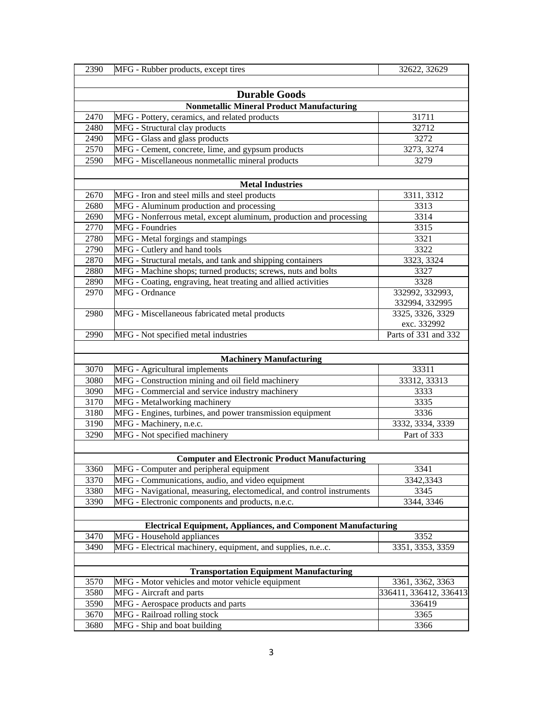| 2390                 | MFG - Rubber products, except tires                                   | 32622, 32629           |  |
|----------------------|-----------------------------------------------------------------------|------------------------|--|
|                      |                                                                       |                        |  |
| <b>Durable Goods</b> |                                                                       |                        |  |
|                      | <b>Nonmetallic Mineral Product Manufacturing</b>                      |                        |  |
| 2470                 | MFG - Pottery, ceramics, and related products                         | 31711                  |  |
| 2480                 | MFG - Structural clay products                                        | 32712                  |  |
| 2490                 | MFG - Glass and glass products                                        | 3272                   |  |
| 2570                 | MFG - Cement, concrete, lime, and gypsum products                     | 3273, 3274             |  |
| 2590                 | MFG - Miscellaneous nonmetallic mineral products                      | 3279                   |  |
|                      |                                                                       |                        |  |
|                      | <b>Metal Industries</b>                                               |                        |  |
| 2670                 | MFG - Iron and steel mills and steel products                         | 3311, 3312             |  |
| 2680                 | MFG - Aluminum production and processing                              | 3313                   |  |
| 2690                 | MFG - Nonferrous metal, except aluminum, production and processing    | 3314                   |  |
| 2770                 | <b>MFG</b> - Foundries                                                | 3315                   |  |
| 2780                 | MFG - Metal forgings and stampings                                    | 3321                   |  |
| 2790                 | MFG - Cutlery and hand tools                                          | 3322                   |  |
| 2870                 | MFG - Structural metals, and tank and shipping containers             | 3323, 3324             |  |
| 2880                 | MFG - Machine shops; turned products; screws, nuts and bolts          | 3327                   |  |
| 2890                 | MFG - Coating, engraving, heat treating and allied activities         | 3328                   |  |
| 2970                 | MFG - Ordnance                                                        | 332992, 332993,        |  |
|                      |                                                                       | 332994, 332995         |  |
| 2980                 | MFG - Miscellaneous fabricated metal products                         | 3325, 3326, 3329       |  |
|                      |                                                                       | exc. 332992            |  |
| 2990                 | MFG - Not specified metal industries                                  | Parts of 331 and 332   |  |
|                      |                                                                       |                        |  |
|                      | <b>Machinery Manufacturing</b>                                        |                        |  |
| 3070                 | MFG - Agricultural implements                                         | 33311                  |  |
| 3080                 | MFG - Construction mining and oil field machinery                     | 33312, 33313           |  |
| 3090                 | MFG - Commercial and service industry machinery                       | 3333                   |  |
| 3170                 | MFG - Metalworking machinery                                          | 3335                   |  |
| 3180                 | MFG - Engines, turbines, and power transmission equipment             | 3336                   |  |
| 3190                 | MFG - Machinery, n.e.c.                                               | 3332, 3334, 3339       |  |
| 3290                 | MFG - Not specified machinery                                         | Part of 333            |  |
|                      |                                                                       |                        |  |
|                      | <b>Computer and Electronic Product Manufacturing</b>                  |                        |  |
| 3360                 | MFG - Computer and peripheral equipment                               | 3341                   |  |
| 3370                 | MFG - Communications, audio, and video equipment                      | 3342,3343              |  |
| 3380                 | MFG - Navigational, measuring, electomedical, and control instruments | 3345                   |  |
| 3390                 | MFG - Electronic components and products, n.e.c.                      | 3344, 3346             |  |
|                      |                                                                       |                        |  |
|                      | <b>Electrical Equipment, Appliances, and Component Manufacturing</b>  |                        |  |
| 3470                 | MFG - Household appliances                                            | 3352                   |  |
| 3490                 | MFG - Electrical machinery, equipment, and supplies, n.ec.            | 3351, 3353, 3359       |  |
|                      |                                                                       |                        |  |
|                      | <b>Transportation Equipment Manufacturing</b>                         |                        |  |
| 3570                 | MFG - Motor vehicles and motor vehicle equipment                      | 3361, 3362, 3363       |  |
| 3580                 | MFG - Aircraft and parts                                              | 336411, 336412, 336413 |  |
| 3590                 | MFG - Aerospace products and parts                                    | 336419                 |  |
| 3670                 | MFG - Railroad rolling stock                                          | 3365                   |  |
| 3680                 | MFG - Ship and boat building                                          | 3366                   |  |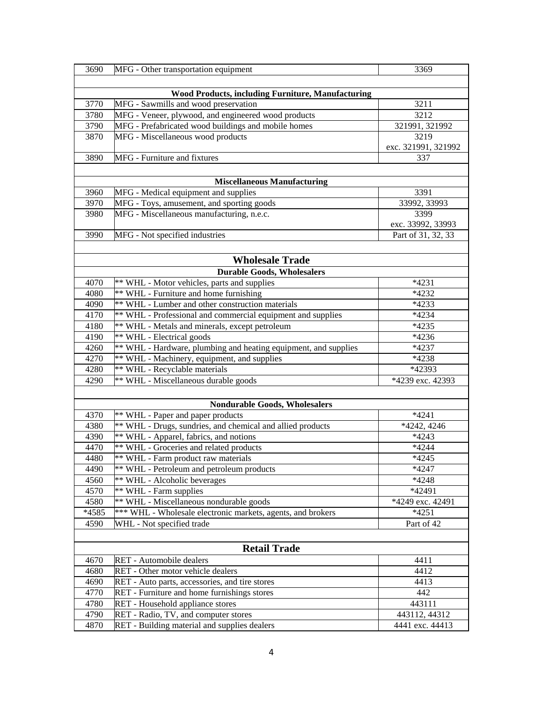| 3690  | MFG - Other transportation equipment                            | 3369                |
|-------|-----------------------------------------------------------------|---------------------|
|       |                                                                 |                     |
|       | <b>Wood Products, including Furniture, Manufacturing</b>        |                     |
| 3770  | MFG - Sawmills and wood preservation                            | 3211                |
| 3780  | MFG - Veneer, plywood, and engineered wood products             | 3212                |
| 3790  | MFG - Prefabricated wood buildings and mobile homes             | 321991, 321992      |
| 3870  | MFG - Miscellaneous wood products                               | 3219                |
|       |                                                                 | exc. 321991, 321992 |
| 3890  | MFG - Furniture and fixtures                                    | 337                 |
|       |                                                                 |                     |
|       | <b>Miscellaneous Manufacturing</b>                              |                     |
| 3960  | MFG - Medical equipment and supplies                            | 3391                |
| 3970  | MFG - Toys, amusement, and sporting goods                       | 33992, 33993        |
| 3980  | MFG - Miscellaneous manufacturing, n.e.c.                       | 3399                |
|       |                                                                 | exc. 33992, 33993   |
| 3990  | MFG - Not specified industries                                  | Part of 31, 32, 33  |
|       |                                                                 |                     |
|       | <b>Wholesale Trade</b>                                          |                     |
|       | <b>Durable Goods, Wholesalers</b>                               |                     |
| 4070  | ** WHL - Motor vehicles, parts and supplies                     | $*4231$             |
| 4080  | ** WHL - Furniture and home furnishing                          | *4232               |
| 4090  | ** WHL - Lumber and other construction materials                | *4233               |
| 4170  | ** WHL - Professional and commercial equipment and supplies     | $*4234$             |
| 4180  | ** WHL - Metals and minerals, except petroleum                  | *4235               |
| 4190  | ** WHL - Electrical goods                                       | *4236               |
| 4260  | ** WHL - Hardware, plumbing and heating equipment, and supplies | *4237               |
| 4270  | ** WHL - Machinery, equipment, and supplies                     | *4238               |
| 4280  | ** WHL - Recyclable materials                                   | *42393              |
| 4290  | ** WHL - Miscellaneous durable goods                            | *4239 exc. 42393    |
|       |                                                                 |                     |
|       | <b>Nondurable Goods, Wholesalers</b>                            |                     |
| 4370  | ** WHL - Paper and paper products                               | $*4241$             |
| 4380  | ** WHL - Drugs, sundries, and chemical and allied products      | *4242, 4246         |
| 4390  | ** WHL - Apparel, fabrics, and notions                          | $*4243$             |
| 4470  | ** WHL - Groceries and related products                         | $*4244$             |
| 4480  | ** WHL - Farm product raw materials                             | $*4245$             |
| 4490  | ** WHL - Petroleum and petroleum products                       | $*4247$             |
| 4560  | ** WHL - Alcoholic beverages                                    | *4248               |
| 4570  | ** WHL - Farm supplies                                          | *42491              |
| 4580  | ** WHL - Miscellaneous nondurable goods                         | *4249 exc. 42491    |
| *4585 | *** WHL - Wholesale electronic markets, agents, and brokers     | $*4251$             |
| 4590  | WHL - Not specified trade                                       | Part of 42          |
|       |                                                                 |                     |
|       | <b>Retail Trade</b>                                             |                     |
| 4670  | RET - Automobile dealers                                        | 4411                |
| 4680  | RET - Other motor vehicle dealers                               | 4412                |
| 4690  | RET - Auto parts, accessories, and tire stores                  | 4413                |
| 4770  | RET - Furniture and home furnishings stores                     | 442                 |
| 4780  | RET - Household appliance stores                                | 443111              |
| 4790  | RET - Radio, TV, and computer stores                            | 443112, 44312       |
| 4870  | RET - Building material and supplies dealers                    | 4441 exc. 44413     |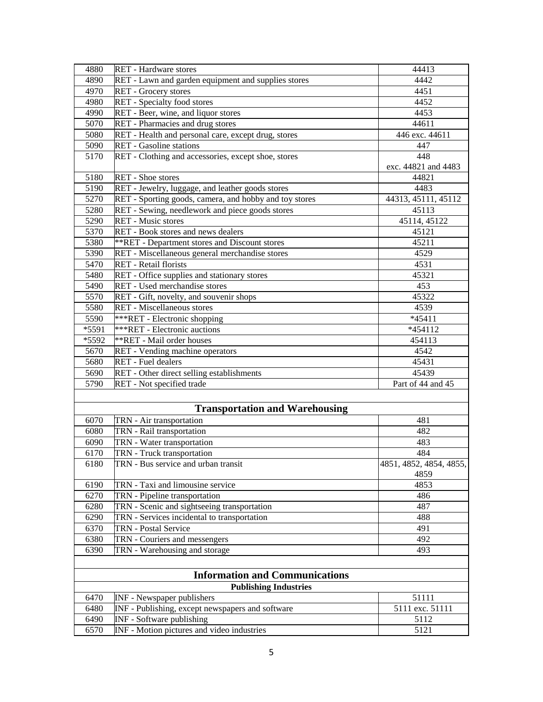| 4880  | RET - Hardware stores                                  | 44413                   |
|-------|--------------------------------------------------------|-------------------------|
| 4890  | RET - Lawn and garden equipment and supplies stores    | 4442                    |
| 4970  | RET - Grocery stores                                   | 4451                    |
| 4980  | <b>RET</b> - Specialty food stores                     | 4452                    |
| 4990  | RET - Beer, wine, and liquor stores                    | 4453                    |
| 5070  | RET - Pharmacies and drug stores                       | 44611                   |
| 5080  | RET - Health and personal care, except drug, stores    | 446 exc. 44611          |
| 5090  | <b>RET</b> - Gasoline stations                         | 447                     |
| 5170  | RET - Clothing and accessories, except shoe, stores    | 448                     |
|       |                                                        | exc. 44821 and 4483     |
| 5180  | <b>RET</b> - Shoe stores                               | 44821                   |
| 5190  | RET - Jewelry, luggage, and leather goods stores       | 4483                    |
| 5270  | RET - Sporting goods, camera, and hobby and toy stores | 44313, 45111, 45112     |
| 5280  | RET - Sewing, needlework and piece goods stores        | 45113                   |
| 5290  | <b>RET</b> - Music stores                              | 45114, 45122            |
| 5370  | RET - Book stores and news dealers                     | 45121                   |
| 5380  | **RET - Department stores and Discount stores          | 45211                   |
| 5390  | RET - Miscellaneous general merchandise stores         | 4529                    |
| 5470  | <b>RET</b> - Retail florists                           | 4531                    |
| 5480  | RET - Office supplies and stationary stores            | 45321                   |
| 5490  | RET - Used merchandise stores                          | 453                     |
| 5570  | RET - Gift, novelty, and souvenir shops                | 45322                   |
| 5580  | <b>RET</b> - Miscellaneous stores                      | 4539                    |
| 5590  | ***RET - Electronic shopping                           | *45411                  |
| *5591 | ***RET - Electronic auctions                           | *454112                 |
| *5592 | <b>**RET</b> - Mail order houses                       | 454113                  |
| 5670  | RET - Vending machine operators                        | 4542                    |
| 5680  | <b>RET</b> - Fuel dealers                              | 45431                   |
| 5690  | RET - Other direct selling establishments              | 45439                   |
| 5790  | RET - Not specified trade                              | Part of 44 and 45       |
|       |                                                        |                         |
|       | <b>Transportation and Warehousing</b>                  |                         |
| 6070  | TRN - Air transportation                               | 481                     |
| 6080  | TRN - Rail transportation                              | 482                     |
| 6090  | TRN - Water transportation                             | 483                     |
| 6170  | TRN - Truck transportation                             | 484                     |
| 6180  | TRN - Bus service and urban transit                    | 4851, 4852, 4854, 4855, |
|       |                                                        | 4859                    |
| 6190  | TRN - Taxi and limousine service                       | 4853                    |
| 6270  | TRN - Pipeline transportation                          | 486                     |
| 6280  | TRN - Scenic and sightseeing transportation            | 487                     |
| 6290  | TRN - Services incidental to transportation            | 488                     |
| 6370  | TRN - Postal Service                                   | 491                     |
| 6380  | TRN - Couriers and messengers                          | 492                     |
| 6390  | TRN - Warehousing and storage                          | 493                     |
|       |                                                        |                         |
|       | <b>Information and Communications</b>                  |                         |
|       | <b>Publishing Industries</b>                           |                         |
| 6470  | <b>INF</b> - Newspaper publishers                      | 51111                   |
| 6480  | INF - Publishing, except newspapers and software       | 5111 exc. 51111         |
| 6490  | <b>INF</b> - Software publishing                       | 5112                    |
| 6570  | INF - Motion pictures and video industries             | 5121                    |
|       |                                                        |                         |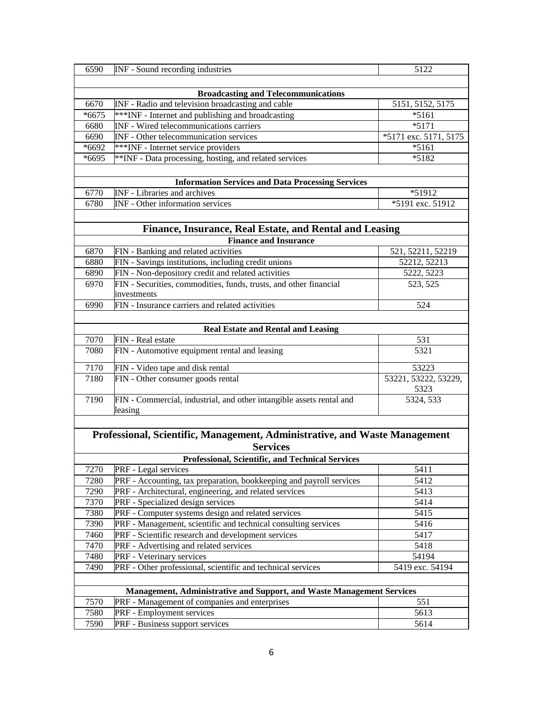| 6590                                                                       | INF - Sound recording industries                                                            | 5122                          |  |
|----------------------------------------------------------------------------|---------------------------------------------------------------------------------------------|-------------------------------|--|
|                                                                            |                                                                                             |                               |  |
|                                                                            |                                                                                             |                               |  |
|                                                                            | <b>Broadcasting and Telecommunications</b>                                                  |                               |  |
| 6670                                                                       | INF - Radio and television broadcasting and cable                                           | 5151, 5152, 5175              |  |
| $*6675$                                                                    | ***INF - Internet and publishing and broadcasting                                           | $*5161$                       |  |
| 6680                                                                       | INF - Wired telecommunications carriers                                                     | $*5171$                       |  |
| 6690                                                                       | INF - Other telecommunication services                                                      | *5171 exc. 5171, 5175         |  |
| *6692                                                                      | ***INF - Internet service providers                                                         | $*5161$                       |  |
| *6695                                                                      | **INF - Data processing, hosting, and related services                                      | $*5182$                       |  |
|                                                                            |                                                                                             |                               |  |
|                                                                            | <b>Information Services and Data Processing Services</b>                                    |                               |  |
| 6770                                                                       | INF - Libraries and archives                                                                | *51912                        |  |
| 6780                                                                       | <b>INF</b> - Other information services                                                     | $\overline{$}5191$ exc. 51912 |  |
|                                                                            |                                                                                             |                               |  |
|                                                                            | Finance, Insurance, Real Estate, and Rental and Leasing                                     |                               |  |
|                                                                            | <b>Finance and Insurance</b>                                                                |                               |  |
| 6870                                                                       | FIN - Banking and related activities                                                        | 521, 52211, 52219             |  |
| 6880                                                                       | FIN - Savings institutions, including credit unions                                         | 52212, 52213                  |  |
| 6890                                                                       | FIN - Non-depository credit and related activities                                          | 5222, 5223                    |  |
| 6970                                                                       | FIN - Securities, commodities, funds, trusts, and other financial                           | 523, 525                      |  |
|                                                                            | investments                                                                                 |                               |  |
| 6990                                                                       | FIN - Insurance carriers and related activities                                             | 524                           |  |
|                                                                            |                                                                                             |                               |  |
|                                                                            | <b>Real Estate and Rental and Leasing</b>                                                   |                               |  |
| 7070                                                                       | FIN - Real estate                                                                           | 531                           |  |
| 7080                                                                       | FIN - Automotive equipment rental and leasing                                               | 5321                          |  |
|                                                                            |                                                                                             |                               |  |
| 7170                                                                       | FIN - Video tape and disk rental                                                            | 53223                         |  |
| 7180                                                                       | FIN - Other consumer goods rental                                                           | 53221, 53222, 53229,<br>5323  |  |
| 7190                                                                       | FIN - Commercial, industrial, and other intangible assets rental and                        | 5324, 533                     |  |
|                                                                            | leasing                                                                                     |                               |  |
|                                                                            |                                                                                             |                               |  |
| Professional, Scientific, Management, Administrative, and Waste Management |                                                                                             |                               |  |
| <b>Services</b>                                                            |                                                                                             |                               |  |
|                                                                            | <b>Professional, Scientific, and Technical Services</b>                                     |                               |  |
|                                                                            |                                                                                             |                               |  |
| 7270<br>7280                                                               | PRF - Legal services<br>PRF - Accounting, tax preparation, bookkeeping and payroll services | 5411<br>5412                  |  |
| 7290                                                                       | PRF - Architectural, engineering, and related services                                      | 5413                          |  |
| 7370                                                                       | PRF - Specialized design services                                                           | 5414                          |  |
| 7380                                                                       | PRF - Computer systems design and related services                                          | 5415                          |  |
| 7390                                                                       |                                                                                             |                               |  |
|                                                                            | PRF - Management, scientific and technical consulting services                              | 5416                          |  |
| 7460                                                                       | PRF - Scientific research and development services                                          | 5417                          |  |
| 7470                                                                       | PRF - Advertising and related services                                                      | 5418                          |  |
| 7480                                                                       | PRF - Veterinary services                                                                   | 54194                         |  |
| 7490                                                                       | PRF - Other professional, scientific and technical services                                 | 5419 exc. 54194               |  |
|                                                                            |                                                                                             |                               |  |
|                                                                            | Management, Administrative and Support, and Waste Management Services                       |                               |  |
| 7570                                                                       | PRF - Management of companies and enterprises                                               | 551                           |  |
| 7580                                                                       | PRF - Employment services                                                                   | 5613                          |  |
| 7590                                                                       | PRF - Business support services                                                             | 5614                          |  |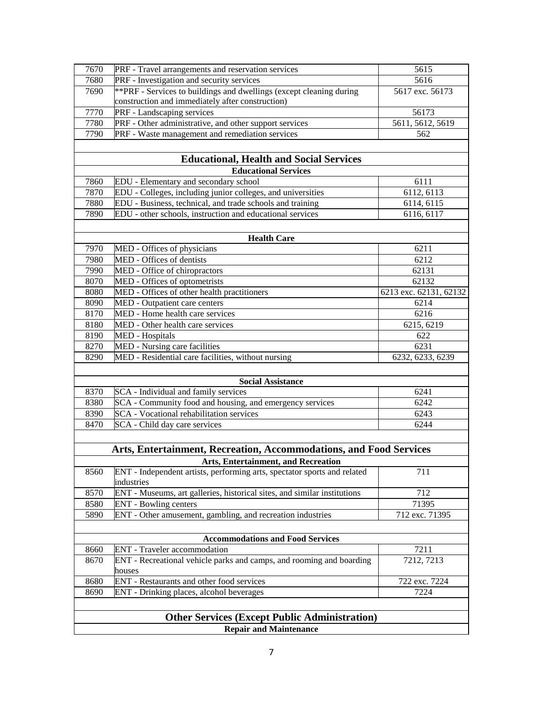|                          | <b>Health Care</b>                                                                     |                        |  |  |
|--------------------------|----------------------------------------------------------------------------------------|------------------------|--|--|
| 7970                     | MED - Offices of physicians                                                            | 6211                   |  |  |
| 7980                     | MED - Offices of dentists                                                              | 6212<br>62131          |  |  |
| 7990<br>8070             | MED - Office of chiropractors<br>MED - Offices of optometrists                         | 62132                  |  |  |
| 8080                     | MED - Offices of other health practitioners                                            | 6213 exc. 62131, 62132 |  |  |
| 8090                     | MED - Outpatient care centers                                                          | 6214                   |  |  |
| 8170                     | MED - Home health care services                                                        | 6216                   |  |  |
| 8180                     | MED - Other health care services                                                       | 6215, 6219             |  |  |
| 8190                     | <b>MED</b> - Hospitals                                                                 | 622                    |  |  |
| 8270                     | MED - Nursing care facilities                                                          | 6231                   |  |  |
| 8290                     | MED - Residential care facilities, without nursing                                     | 6232, 6233, 6239       |  |  |
| <b>Social Assistance</b> |                                                                                        |                        |  |  |
| 8370                     | SCA - Individual and family services                                                   | 6241                   |  |  |
| 8380                     | SCA - Community food and housing, and emergency services                               | 6242                   |  |  |
| 8390                     | <b>SCA</b> - Vocational rehabilitation services                                        | 6243                   |  |  |
| 8470                     | SCA - Child day care services                                                          | 6244                   |  |  |
|                          |                                                                                        |                        |  |  |
|                          | Arts, Entertainment, Recreation, Accommodations, and Food Services                     |                        |  |  |
|                          | <b>Arts, Entertainment, and Recreation</b>                                             |                        |  |  |
| 8560                     | ENT - Independent artists, performing arts, spectator sports and related<br>industries | 711                    |  |  |
| 8570                     | ENT - Museums, art galleries, historical sites, and similar institutions               | 712                    |  |  |
| 8580                     | <b>ENT</b> - Bowling centers                                                           | 71395                  |  |  |
| 5890                     | ENT - Other amusement, gambling, and recreation industries                             | 712 exc. 71395         |  |  |
|                          |                                                                                        |                        |  |  |
|                          | <b>Accommodations and Food Services</b>                                                |                        |  |  |
| 8660                     | <b>ENT</b> - Traveler accommodation                                                    | 7211                   |  |  |
| 8670                     | ENT - Recreational vehicle parks and camps, and rooming and boarding<br>houses         | 7212, 7213             |  |  |
| 8680                     | ENT - Restaurants and other food services                                              | 722 exc. 7224          |  |  |
| 8690                     | ENT - Drinking places, alcohol beverages                                               | 7224                   |  |  |
|                          |                                                                                        |                        |  |  |
|                          | <b>Other Services (Except Public Administration)</b>                                   |                        |  |  |
|                          | <b>Repair and Maintenance</b>                                                          |                        |  |  |
|                          |                                                                                        |                        |  |  |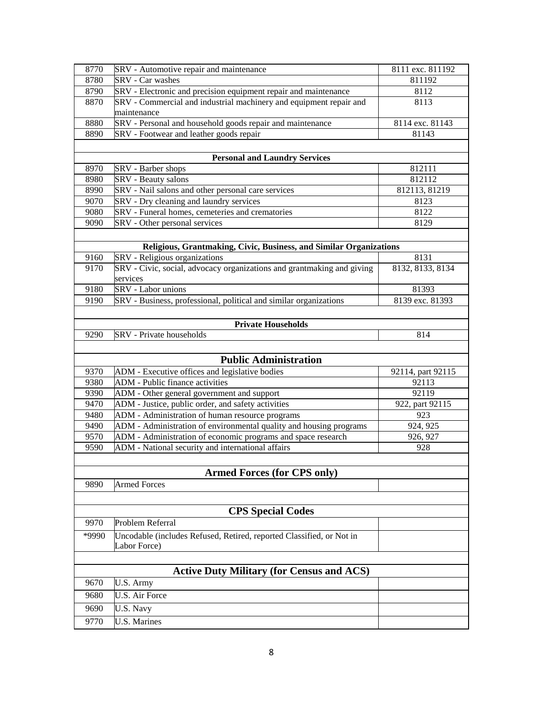| SRV - Automotive repair and maintenance<br>8770<br>8111 exc. 811192<br><b>SRV</b> - Car washes<br>8780<br>811192<br>SRV - Electronic and precision equipment repair and maintenance<br>8790<br>8112<br>SRV - Commercial and industrial machinery and equipment repair and<br>8870<br>8113<br>maintenance<br>SRV - Personal and household goods repair and maintenance<br>8114 exc. 81143<br>8880<br>SRV - Footwear and leather goods repair<br>8890<br>81143<br><b>Personal and Laundry Services</b><br>812111<br>8970<br>SRV - Barber shops<br>8980<br>SRV - Beauty salons<br>812112<br>SRV - Nail salons and other personal care services<br>8990<br>812113, 81219<br>SRV - Dry cleaning and laundry services<br>9070<br>8123<br>SRV - Funeral homes, cemeteries and crematories<br>9080<br>8122<br>SRV - Other personal services<br>9090<br>8129<br>Religious, Grantmaking, Civic, Business, and Similar Organizations<br>SRV - Religious organizations<br>8131<br>9160<br>SRV - Civic, social, advocacy organizations and grantmaking and giving<br>8132, 8133, 8134<br>9170<br>services<br>SRV - Labor unions<br>9180<br>81393<br>SRV - Business, professional, political and similar organizations<br>8139 exc. 81393<br>9190<br><b>Private Households</b><br><b>SRV</b> - Private households<br>9290<br>814<br><b>Public Administration</b><br>9370<br>ADM - Executive offices and legislative bodies<br>92114, part 92115<br><b>ADM</b> - Public finance activities<br>9380<br>92113<br>9390<br>ADM - Other general government and support<br>92119<br>ADM - Justice, public order, and safety activities<br>9470<br>922, part 92115<br>9480<br>ADM - Administration of human resource programs<br>923<br>ADM - Administration of environmental quality and housing programs<br>9490<br>924, 925<br>9570<br>ADM - Administration of economic programs and space research<br>926, 927<br>ADM - National security and international affairs<br>9590<br>928<br><b>Armed Forces (for CPS only)</b><br><b>Armed Forces</b><br>9890 |  |  |  |
|---------------------------------------------------------------------------------------------------------------------------------------------------------------------------------------------------------------------------------------------------------------------------------------------------------------------------------------------------------------------------------------------------------------------------------------------------------------------------------------------------------------------------------------------------------------------------------------------------------------------------------------------------------------------------------------------------------------------------------------------------------------------------------------------------------------------------------------------------------------------------------------------------------------------------------------------------------------------------------------------------------------------------------------------------------------------------------------------------------------------------------------------------------------------------------------------------------------------------------------------------------------------------------------------------------------------------------------------------------------------------------------------------------------------------------------------------------------------------------------------------------------------------------------------------------------------------------------------------------------------------------------------------------------------------------------------------------------------------------------------------------------------------------------------------------------------------------------------------------------------------------------------------------------------------------------------------------------------------------------------------------------------------------------|--|--|--|
|                                                                                                                                                                                                                                                                                                                                                                                                                                                                                                                                                                                                                                                                                                                                                                                                                                                                                                                                                                                                                                                                                                                                                                                                                                                                                                                                                                                                                                                                                                                                                                                                                                                                                                                                                                                                                                                                                                                                                                                                                                       |  |  |  |
|                                                                                                                                                                                                                                                                                                                                                                                                                                                                                                                                                                                                                                                                                                                                                                                                                                                                                                                                                                                                                                                                                                                                                                                                                                                                                                                                                                                                                                                                                                                                                                                                                                                                                                                                                                                                                                                                                                                                                                                                                                       |  |  |  |
|                                                                                                                                                                                                                                                                                                                                                                                                                                                                                                                                                                                                                                                                                                                                                                                                                                                                                                                                                                                                                                                                                                                                                                                                                                                                                                                                                                                                                                                                                                                                                                                                                                                                                                                                                                                                                                                                                                                                                                                                                                       |  |  |  |
|                                                                                                                                                                                                                                                                                                                                                                                                                                                                                                                                                                                                                                                                                                                                                                                                                                                                                                                                                                                                                                                                                                                                                                                                                                                                                                                                                                                                                                                                                                                                                                                                                                                                                                                                                                                                                                                                                                                                                                                                                                       |  |  |  |
|                                                                                                                                                                                                                                                                                                                                                                                                                                                                                                                                                                                                                                                                                                                                                                                                                                                                                                                                                                                                                                                                                                                                                                                                                                                                                                                                                                                                                                                                                                                                                                                                                                                                                                                                                                                                                                                                                                                                                                                                                                       |  |  |  |
|                                                                                                                                                                                                                                                                                                                                                                                                                                                                                                                                                                                                                                                                                                                                                                                                                                                                                                                                                                                                                                                                                                                                                                                                                                                                                                                                                                                                                                                                                                                                                                                                                                                                                                                                                                                                                                                                                                                                                                                                                                       |  |  |  |
|                                                                                                                                                                                                                                                                                                                                                                                                                                                                                                                                                                                                                                                                                                                                                                                                                                                                                                                                                                                                                                                                                                                                                                                                                                                                                                                                                                                                                                                                                                                                                                                                                                                                                                                                                                                                                                                                                                                                                                                                                                       |  |  |  |
|                                                                                                                                                                                                                                                                                                                                                                                                                                                                                                                                                                                                                                                                                                                                                                                                                                                                                                                                                                                                                                                                                                                                                                                                                                                                                                                                                                                                                                                                                                                                                                                                                                                                                                                                                                                                                                                                                                                                                                                                                                       |  |  |  |
|                                                                                                                                                                                                                                                                                                                                                                                                                                                                                                                                                                                                                                                                                                                                                                                                                                                                                                                                                                                                                                                                                                                                                                                                                                                                                                                                                                                                                                                                                                                                                                                                                                                                                                                                                                                                                                                                                                                                                                                                                                       |  |  |  |
|                                                                                                                                                                                                                                                                                                                                                                                                                                                                                                                                                                                                                                                                                                                                                                                                                                                                                                                                                                                                                                                                                                                                                                                                                                                                                                                                                                                                                                                                                                                                                                                                                                                                                                                                                                                                                                                                                                                                                                                                                                       |  |  |  |
|                                                                                                                                                                                                                                                                                                                                                                                                                                                                                                                                                                                                                                                                                                                                                                                                                                                                                                                                                                                                                                                                                                                                                                                                                                                                                                                                                                                                                                                                                                                                                                                                                                                                                                                                                                                                                                                                                                                                                                                                                                       |  |  |  |
|                                                                                                                                                                                                                                                                                                                                                                                                                                                                                                                                                                                                                                                                                                                                                                                                                                                                                                                                                                                                                                                                                                                                                                                                                                                                                                                                                                                                                                                                                                                                                                                                                                                                                                                                                                                                                                                                                                                                                                                                                                       |  |  |  |
|                                                                                                                                                                                                                                                                                                                                                                                                                                                                                                                                                                                                                                                                                                                                                                                                                                                                                                                                                                                                                                                                                                                                                                                                                                                                                                                                                                                                                                                                                                                                                                                                                                                                                                                                                                                                                                                                                                                                                                                                                                       |  |  |  |
|                                                                                                                                                                                                                                                                                                                                                                                                                                                                                                                                                                                                                                                                                                                                                                                                                                                                                                                                                                                                                                                                                                                                                                                                                                                                                                                                                                                                                                                                                                                                                                                                                                                                                                                                                                                                                                                                                                                                                                                                                                       |  |  |  |
|                                                                                                                                                                                                                                                                                                                                                                                                                                                                                                                                                                                                                                                                                                                                                                                                                                                                                                                                                                                                                                                                                                                                                                                                                                                                                                                                                                                                                                                                                                                                                                                                                                                                                                                                                                                                                                                                                                                                                                                                                                       |  |  |  |
|                                                                                                                                                                                                                                                                                                                                                                                                                                                                                                                                                                                                                                                                                                                                                                                                                                                                                                                                                                                                                                                                                                                                                                                                                                                                                                                                                                                                                                                                                                                                                                                                                                                                                                                                                                                                                                                                                                                                                                                                                                       |  |  |  |
|                                                                                                                                                                                                                                                                                                                                                                                                                                                                                                                                                                                                                                                                                                                                                                                                                                                                                                                                                                                                                                                                                                                                                                                                                                                                                                                                                                                                                                                                                                                                                                                                                                                                                                                                                                                                                                                                                                                                                                                                                                       |  |  |  |
|                                                                                                                                                                                                                                                                                                                                                                                                                                                                                                                                                                                                                                                                                                                                                                                                                                                                                                                                                                                                                                                                                                                                                                                                                                                                                                                                                                                                                                                                                                                                                                                                                                                                                                                                                                                                                                                                                                                                                                                                                                       |  |  |  |
|                                                                                                                                                                                                                                                                                                                                                                                                                                                                                                                                                                                                                                                                                                                                                                                                                                                                                                                                                                                                                                                                                                                                                                                                                                                                                                                                                                                                                                                                                                                                                                                                                                                                                                                                                                                                                                                                                                                                                                                                                                       |  |  |  |
|                                                                                                                                                                                                                                                                                                                                                                                                                                                                                                                                                                                                                                                                                                                                                                                                                                                                                                                                                                                                                                                                                                                                                                                                                                                                                                                                                                                                                                                                                                                                                                                                                                                                                                                                                                                                                                                                                                                                                                                                                                       |  |  |  |
|                                                                                                                                                                                                                                                                                                                                                                                                                                                                                                                                                                                                                                                                                                                                                                                                                                                                                                                                                                                                                                                                                                                                                                                                                                                                                                                                                                                                                                                                                                                                                                                                                                                                                                                                                                                                                                                                                                                                                                                                                                       |  |  |  |
|                                                                                                                                                                                                                                                                                                                                                                                                                                                                                                                                                                                                                                                                                                                                                                                                                                                                                                                                                                                                                                                                                                                                                                                                                                                                                                                                                                                                                                                                                                                                                                                                                                                                                                                                                                                                                                                                                                                                                                                                                                       |  |  |  |
|                                                                                                                                                                                                                                                                                                                                                                                                                                                                                                                                                                                                                                                                                                                                                                                                                                                                                                                                                                                                                                                                                                                                                                                                                                                                                                                                                                                                                                                                                                                                                                                                                                                                                                                                                                                                                                                                                                                                                                                                                                       |  |  |  |
|                                                                                                                                                                                                                                                                                                                                                                                                                                                                                                                                                                                                                                                                                                                                                                                                                                                                                                                                                                                                                                                                                                                                                                                                                                                                                                                                                                                                                                                                                                                                                                                                                                                                                                                                                                                                                                                                                                                                                                                                                                       |  |  |  |
|                                                                                                                                                                                                                                                                                                                                                                                                                                                                                                                                                                                                                                                                                                                                                                                                                                                                                                                                                                                                                                                                                                                                                                                                                                                                                                                                                                                                                                                                                                                                                                                                                                                                                                                                                                                                                                                                                                                                                                                                                                       |  |  |  |
|                                                                                                                                                                                                                                                                                                                                                                                                                                                                                                                                                                                                                                                                                                                                                                                                                                                                                                                                                                                                                                                                                                                                                                                                                                                                                                                                                                                                                                                                                                                                                                                                                                                                                                                                                                                                                                                                                                                                                                                                                                       |  |  |  |
|                                                                                                                                                                                                                                                                                                                                                                                                                                                                                                                                                                                                                                                                                                                                                                                                                                                                                                                                                                                                                                                                                                                                                                                                                                                                                                                                                                                                                                                                                                                                                                                                                                                                                                                                                                                                                                                                                                                                                                                                                                       |  |  |  |
|                                                                                                                                                                                                                                                                                                                                                                                                                                                                                                                                                                                                                                                                                                                                                                                                                                                                                                                                                                                                                                                                                                                                                                                                                                                                                                                                                                                                                                                                                                                                                                                                                                                                                                                                                                                                                                                                                                                                                                                                                                       |  |  |  |
|                                                                                                                                                                                                                                                                                                                                                                                                                                                                                                                                                                                                                                                                                                                                                                                                                                                                                                                                                                                                                                                                                                                                                                                                                                                                                                                                                                                                                                                                                                                                                                                                                                                                                                                                                                                                                                                                                                                                                                                                                                       |  |  |  |
|                                                                                                                                                                                                                                                                                                                                                                                                                                                                                                                                                                                                                                                                                                                                                                                                                                                                                                                                                                                                                                                                                                                                                                                                                                                                                                                                                                                                                                                                                                                                                                                                                                                                                                                                                                                                                                                                                                                                                                                                                                       |  |  |  |
|                                                                                                                                                                                                                                                                                                                                                                                                                                                                                                                                                                                                                                                                                                                                                                                                                                                                                                                                                                                                                                                                                                                                                                                                                                                                                                                                                                                                                                                                                                                                                                                                                                                                                                                                                                                                                                                                                                                                                                                                                                       |  |  |  |
|                                                                                                                                                                                                                                                                                                                                                                                                                                                                                                                                                                                                                                                                                                                                                                                                                                                                                                                                                                                                                                                                                                                                                                                                                                                                                                                                                                                                                                                                                                                                                                                                                                                                                                                                                                                                                                                                                                                                                                                                                                       |  |  |  |
|                                                                                                                                                                                                                                                                                                                                                                                                                                                                                                                                                                                                                                                                                                                                                                                                                                                                                                                                                                                                                                                                                                                                                                                                                                                                                                                                                                                                                                                                                                                                                                                                                                                                                                                                                                                                                                                                                                                                                                                                                                       |  |  |  |
|                                                                                                                                                                                                                                                                                                                                                                                                                                                                                                                                                                                                                                                                                                                                                                                                                                                                                                                                                                                                                                                                                                                                                                                                                                                                                                                                                                                                                                                                                                                                                                                                                                                                                                                                                                                                                                                                                                                                                                                                                                       |  |  |  |
|                                                                                                                                                                                                                                                                                                                                                                                                                                                                                                                                                                                                                                                                                                                                                                                                                                                                                                                                                                                                                                                                                                                                                                                                                                                                                                                                                                                                                                                                                                                                                                                                                                                                                                                                                                                                                                                                                                                                                                                                                                       |  |  |  |
|                                                                                                                                                                                                                                                                                                                                                                                                                                                                                                                                                                                                                                                                                                                                                                                                                                                                                                                                                                                                                                                                                                                                                                                                                                                                                                                                                                                                                                                                                                                                                                                                                                                                                                                                                                                                                                                                                                                                                                                                                                       |  |  |  |
|                                                                                                                                                                                                                                                                                                                                                                                                                                                                                                                                                                                                                                                                                                                                                                                                                                                                                                                                                                                                                                                                                                                                                                                                                                                                                                                                                                                                                                                                                                                                                                                                                                                                                                                                                                                                                                                                                                                                                                                                                                       |  |  |  |
|                                                                                                                                                                                                                                                                                                                                                                                                                                                                                                                                                                                                                                                                                                                                                                                                                                                                                                                                                                                                                                                                                                                                                                                                                                                                                                                                                                                                                                                                                                                                                                                                                                                                                                                                                                                                                                                                                                                                                                                                                                       |  |  |  |
|                                                                                                                                                                                                                                                                                                                                                                                                                                                                                                                                                                                                                                                                                                                                                                                                                                                                                                                                                                                                                                                                                                                                                                                                                                                                                                                                                                                                                                                                                                                                                                                                                                                                                                                                                                                                                                                                                                                                                                                                                                       |  |  |  |
|                                                                                                                                                                                                                                                                                                                                                                                                                                                                                                                                                                                                                                                                                                                                                                                                                                                                                                                                                                                                                                                                                                                                                                                                                                                                                                                                                                                                                                                                                                                                                                                                                                                                                                                                                                                                                                                                                                                                                                                                                                       |  |  |  |
| <b>CPS Special Codes</b><br>Problem Referral<br>9970                                                                                                                                                                                                                                                                                                                                                                                                                                                                                                                                                                                                                                                                                                                                                                                                                                                                                                                                                                                                                                                                                                                                                                                                                                                                                                                                                                                                                                                                                                                                                                                                                                                                                                                                                                                                                                                                                                                                                                                  |  |  |  |
|                                                                                                                                                                                                                                                                                                                                                                                                                                                                                                                                                                                                                                                                                                                                                                                                                                                                                                                                                                                                                                                                                                                                                                                                                                                                                                                                                                                                                                                                                                                                                                                                                                                                                                                                                                                                                                                                                                                                                                                                                                       |  |  |  |
|                                                                                                                                                                                                                                                                                                                                                                                                                                                                                                                                                                                                                                                                                                                                                                                                                                                                                                                                                                                                                                                                                                                                                                                                                                                                                                                                                                                                                                                                                                                                                                                                                                                                                                                                                                                                                                                                                                                                                                                                                                       |  |  |  |
| *9990<br>Uncodable (includes Refused, Retired, reported Classified, or Not in                                                                                                                                                                                                                                                                                                                                                                                                                                                                                                                                                                                                                                                                                                                                                                                                                                                                                                                                                                                                                                                                                                                                                                                                                                                                                                                                                                                                                                                                                                                                                                                                                                                                                                                                                                                                                                                                                                                                                         |  |  |  |
| Labor Force)                                                                                                                                                                                                                                                                                                                                                                                                                                                                                                                                                                                                                                                                                                                                                                                                                                                                                                                                                                                                                                                                                                                                                                                                                                                                                                                                                                                                                                                                                                                                                                                                                                                                                                                                                                                                                                                                                                                                                                                                                          |  |  |  |
|                                                                                                                                                                                                                                                                                                                                                                                                                                                                                                                                                                                                                                                                                                                                                                                                                                                                                                                                                                                                                                                                                                                                                                                                                                                                                                                                                                                                                                                                                                                                                                                                                                                                                                                                                                                                                                                                                                                                                                                                                                       |  |  |  |
| <b>Active Duty Military (for Census and ACS)</b>                                                                                                                                                                                                                                                                                                                                                                                                                                                                                                                                                                                                                                                                                                                                                                                                                                                                                                                                                                                                                                                                                                                                                                                                                                                                                                                                                                                                                                                                                                                                                                                                                                                                                                                                                                                                                                                                                                                                                                                      |  |  |  |
| 9670<br>U.S. Army                                                                                                                                                                                                                                                                                                                                                                                                                                                                                                                                                                                                                                                                                                                                                                                                                                                                                                                                                                                                                                                                                                                                                                                                                                                                                                                                                                                                                                                                                                                                                                                                                                                                                                                                                                                                                                                                                                                                                                                                                     |  |  |  |
| <b>U.S. Air Force</b><br>9680                                                                                                                                                                                                                                                                                                                                                                                                                                                                                                                                                                                                                                                                                                                                                                                                                                                                                                                                                                                                                                                                                                                                                                                                                                                                                                                                                                                                                                                                                                                                                                                                                                                                                                                                                                                                                                                                                                                                                                                                         |  |  |  |
| U.S. Navy<br>9690                                                                                                                                                                                                                                                                                                                                                                                                                                                                                                                                                                                                                                                                                                                                                                                                                                                                                                                                                                                                                                                                                                                                                                                                                                                                                                                                                                                                                                                                                                                                                                                                                                                                                                                                                                                                                                                                                                                                                                                                                     |  |  |  |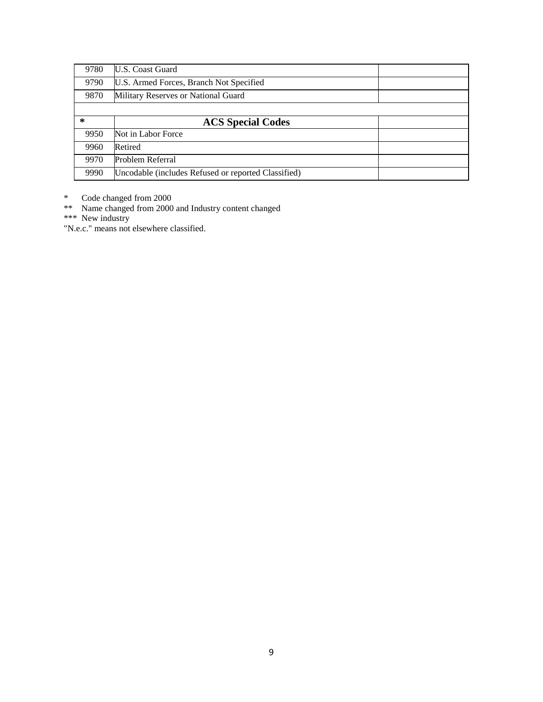| 9780   | <b>ILS.</b> Coast Guard                             |  |
|--------|-----------------------------------------------------|--|
| 9790   | U.S. Armed Forces, Branch Not Specified             |  |
| 9870   | Military Reserves or National Guard                 |  |
|        |                                                     |  |
| $\ast$ | <b>ACS Special Codes</b>                            |  |
| 9950   | Not in Labor Force                                  |  |
| 9960   | Retired                                             |  |
| 9970   | Problem Referral                                    |  |
| 9990   | Uncodable (includes Refused or reported Classified) |  |

\* Code changed from 2000

\*\* Name changed from 2000 and Industry content changed

\*\*\* New industry

"N.e.c." means not elsewhere classified.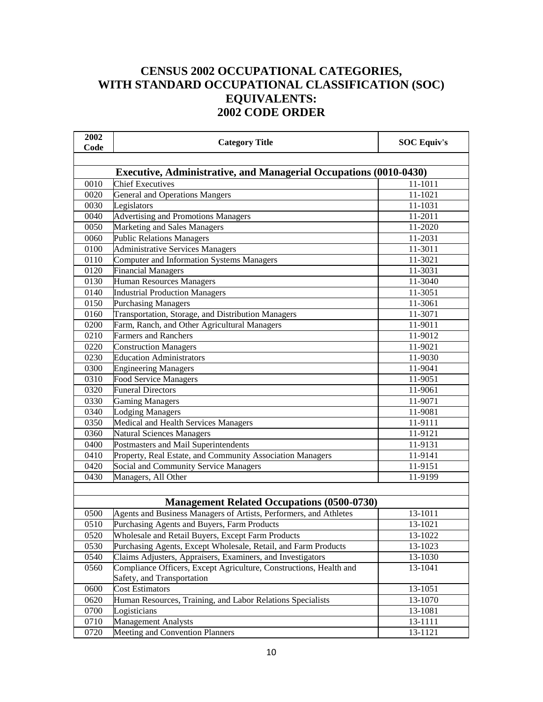## **CENSUS 2002 OCCUPATIONAL CATEGORIES, WITH STANDARD OCCUPATIONAL CLASSIFICATION (SOC) EQUIVALENTS: 2002 CODE ORDER**

| 2002<br>Code | <b>Category Title</b>                                                                            | <b>SOC Equiv's</b> |
|--------------|--------------------------------------------------------------------------------------------------|--------------------|
|              |                                                                                                  |                    |
|              | <b>Executive, Administrative, and Managerial Occupations (0010-0430)</b>                         |                    |
| 0010         | <b>Chief Executives</b>                                                                          | 11-1011            |
| 0020         | <b>General and Operations Mangers</b>                                                            | 11-1021            |
| 0030         | Legislators                                                                                      | 11-1031            |
| 0040         | <b>Advertising and Promotions Managers</b>                                                       | 11-2011            |
| 0050         | Marketing and Sales Managers                                                                     | 11-2020            |
| 0060         | <b>Public Relations Managers</b>                                                                 | 11-2031            |
| 0100         | <b>Administrative Services Managers</b>                                                          | 11-3011            |
| 0110         | Computer and Information Systems Managers                                                        | 11-3021            |
| 0120         | <b>Financial Managers</b>                                                                        | 11-3031            |
| 0130         | Human Resources Managers                                                                         | 11-3040            |
| 0140         | <b>Industrial Production Managers</b>                                                            | 11-3051            |
| 0150         | <b>Purchasing Managers</b>                                                                       | 11-3061            |
| 0160         | Transportation, Storage, and Distribution Managers                                               | 11-3071            |
| 0200         | Farm, Ranch, and Other Agricultural Managers                                                     | 11-9011            |
| 0210         | <b>Farmers and Ranchers</b>                                                                      | 11-9012            |
| 0220         | <b>Construction Managers</b>                                                                     | 11-9021            |
| 0230         | <b>Education Administrators</b>                                                                  | 11-9030            |
| 0300         | <b>Engineering Managers</b>                                                                      | 11-9041            |
| 0310         | <b>Food Service Managers</b>                                                                     | 11-9051            |
| 0320         | <b>Funeral Directors</b>                                                                         | 11-9061            |
| 0330         | <b>Gaming Managers</b>                                                                           | 11-9071            |
| 0340         | <b>Lodging Managers</b>                                                                          | 11-9081            |
| 0350         | Medical and Health Services Managers                                                             | 11-9111            |
| 0360         | Natural Sciences Managers                                                                        | 11-9121            |
| 0400         | Postmasters and Mail Superintendents                                                             | 11-9131            |
| 0410         | Property, Real Estate, and Community Association Managers                                        | 11-9141            |
| 0420         | Social and Community Service Managers                                                            | 11-9151            |
| 0430         | Managers, All Other                                                                              | 11-9199            |
|              |                                                                                                  |                    |
|              | <b>Management Related Occupations (0500-0730)</b>                                                |                    |
| 0500         | Agents and Business Managers of Artists, Performers, and Athletes                                | 13-1011            |
| 0510         | Purchasing Agents and Buyers, Farm Products                                                      | 13-1021            |
| 0520         | Wholesale and Retail Buyers, Except Farm Products                                                | 13-1022            |
| 0530         | Purchasing Agents, Except Wholesale, Retail, and Farm Products                                   | 13-1023            |
| 0540         | Claims Adjusters, Appraisers, Examiners, and Investigators                                       | 13-1030            |
| 0560         | Compliance Officers, Except Agriculture, Constructions, Health and<br>Safety, and Transportation | 13-1041            |
| 0600         | <b>Cost Estimators</b>                                                                           | 13-1051            |
| 0620         | Human Resources, Training, and Labor Relations Specialists                                       | 13-1070            |
| 0700         | $\overline{\text{Logisticians}}$                                                                 | 13-1081            |
| 0710         | <b>Management Analysts</b>                                                                       | 13-1111            |
| 0720         | Meeting and Convention Planners                                                                  | 13-1121            |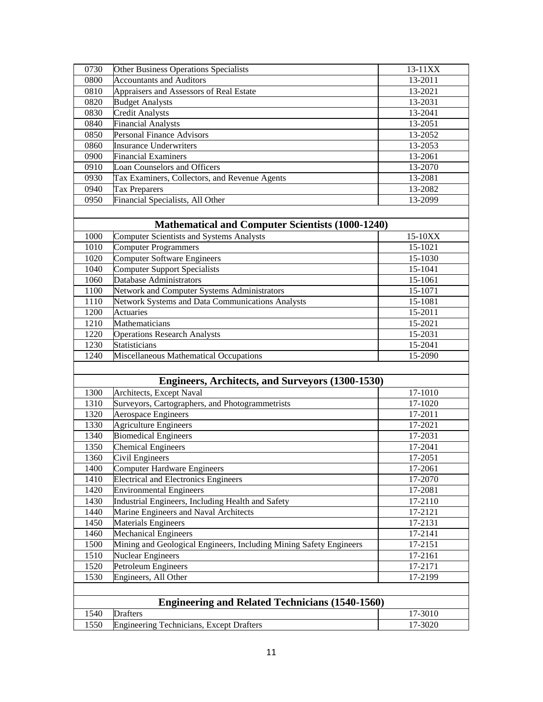| 0730 | Other Business Operations Specialists                              | 13-11XX |  |
|------|--------------------------------------------------------------------|---------|--|
| 0800 | <b>Accountants and Auditors</b>                                    | 13-2011 |  |
| 0810 | Appraisers and Assessors of Real Estate                            | 13-2021 |  |
| 0820 | <b>Budget Analysts</b>                                             | 13-2031 |  |
| 0830 | <b>Credit Analysts</b>                                             | 13-2041 |  |
| 0840 | <b>Financial Analysts</b>                                          | 13-2051 |  |
| 0850 | <b>Personal Finance Advisors</b>                                   | 13-2052 |  |
| 0860 | <b>Insurance Underwriters</b>                                      | 13-2053 |  |
| 0900 | <b>Financial Examiners</b>                                         | 13-2061 |  |
| 0910 | <b>Loan Counselors and Officers</b>                                | 13-2070 |  |
| 0930 | Tax Examiners, Collectors, and Revenue Agents                      | 13-2081 |  |
| 0940 | <b>Tax Preparers</b>                                               | 13-2082 |  |
| 0950 | Financial Specialists, All Other                                   | 13-2099 |  |
|      |                                                                    |         |  |
|      | <b>Mathematical and Computer Scientists (1000-1240)</b>            |         |  |
| 1000 |                                                                    | 15-10XX |  |
|      | <b>Computer Scientists and Systems Analysts</b>                    |         |  |
| 1010 | <b>Computer Programmers</b>                                        | 15-1021 |  |
| 1020 | <b>Computer Software Engineers</b>                                 | 15-1030 |  |
| 1040 | <b>Computer Support Specialists</b>                                | 15-1041 |  |
| 1060 | Database Administrators                                            | 15-1061 |  |
| 1100 | Network and Computer Systems Administrators                        | 15-1071 |  |
| 1110 | Network Systems and Data Communications Analysts                   | 15-1081 |  |
| 1200 | Actuaries                                                          | 15-2011 |  |
| 1210 | Mathematicians                                                     | 15-2021 |  |
| 1220 | <b>Operations Research Analysts</b>                                | 15-2031 |  |
| 1230 | Statisticians                                                      | 15-2041 |  |
| 1240 | Miscellaneous Mathematical Occupations                             | 15-2090 |  |
|      |                                                                    |         |  |
|      | <b>Engineers, Architects, and Surveyors (1300-1530)</b>            |         |  |
| 1300 | Architects, Except Naval                                           | 17-1010 |  |
| 1310 | Surveyors, Cartographers, and Photogrammetrists                    | 17-1020 |  |
| 1320 | <b>Aerospace Engineers</b>                                         | 17-2011 |  |
| 1330 | <b>Agriculture Engineers</b>                                       | 17-2021 |  |
| 1340 | <b>Biomedical Engineers</b>                                        | 17-2031 |  |
| 1350 | <b>Chemical Engineers</b>                                          | 17-2041 |  |
| 1360 | Civil Engineers                                                    | 17-2051 |  |
| 1400 | <b>Computer Hardware Engineers</b>                                 | 17-2061 |  |
| 1410 | <b>Electrical and Electronics Engineers</b>                        | 17-2070 |  |
| 1420 | <b>Environmental Engineers</b>                                     | 17-2081 |  |
| 1430 | Industrial Engineers, Including Health and Safety                  | 17-2110 |  |
| 1440 | Marine Engineers and Naval Architects                              | 17-2121 |  |
| 1450 | <b>Materials Engineers</b>                                         | 17-2131 |  |
| 1460 | <b>Mechanical Engineers</b>                                        | 17-2141 |  |
| 1500 | Mining and Geological Engineers, Including Mining Safety Engineers | 17-2151 |  |
| 1510 | Nuclear Engineers                                                  | 17-2161 |  |
| 1520 | Petroleum Engineers                                                | 17-2171 |  |
| 1530 | Engineers, All Other                                               | 17-2199 |  |
|      |                                                                    |         |  |
|      |                                                                    |         |  |
|      | <b>Engineering and Related Technicians (1540-1560)</b>             |         |  |
| 1540 | <b>Drafters</b>                                                    | 17-3010 |  |
| 1550 | <b>Engineering Technicians, Except Drafters</b>                    | 17-3020 |  |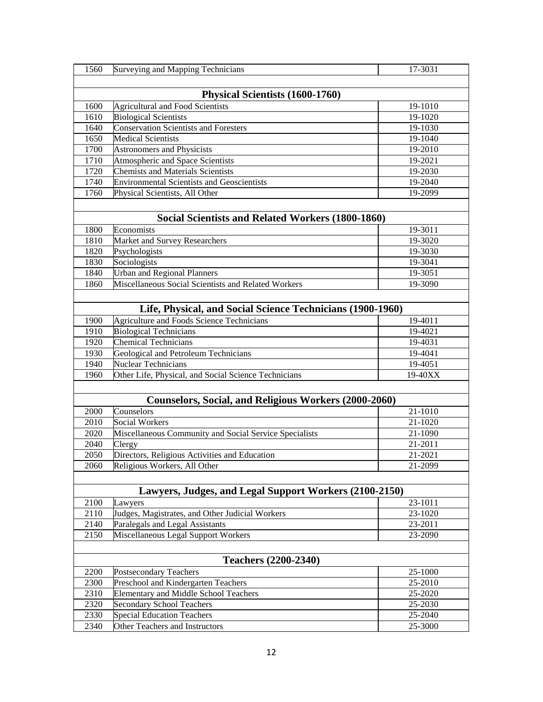| 1560 | Surveying and Mapping Technicians                            | 17-3031 |  |
|------|--------------------------------------------------------------|---------|--|
|      |                                                              |         |  |
|      | Physical Scientists (1600-1760)                              |         |  |
| 1600 | <b>Agricultural and Food Scientists</b>                      | 19-1010 |  |
| 1610 | <b>Biological Scientists</b>                                 | 19-1020 |  |
| 1640 | <b>Conservation Scientists and Foresters</b>                 | 19-1030 |  |
| 1650 | <b>Medical Scientists</b>                                    | 19-1040 |  |
| 1700 | <b>Astronomers and Physicists</b>                            | 19-2010 |  |
| 1710 | Atmospheric and Space Scientists                             | 19-2021 |  |
| 1720 | <b>Chemists and Materials Scientists</b>                     | 19-2030 |  |
| 1740 | <b>Environmental Scientists and Geoscientists</b>            | 19-2040 |  |
| 1760 | Physical Scientists, All Other                               | 19-2099 |  |
|      |                                                              |         |  |
|      | Social Scientists and Related Workers (1800-1860)            |         |  |
| 1800 | Economists                                                   | 19-3011 |  |
| 1810 | Market and Survey Researchers                                | 19-3020 |  |
| 1820 | Psychologists                                                | 19-3030 |  |
| 1830 | Sociologists                                                 | 19-3041 |  |
| 1840 | <b>Urban and Regional Planners</b>                           | 19-3051 |  |
| 1860 | Miscellaneous Social Scientists and Related Workers          | 19-3090 |  |
|      |                                                              |         |  |
|      | Life, Physical, and Social Science Technicians (1900-1960)   |         |  |
| 1900 | <b>Agriculture and Foods Science Technicians</b>             | 19-4011 |  |
| 1910 | <b>Biological Technicians</b>                                | 19-4021 |  |
| 1920 | <b>Chemical Technicians</b>                                  | 19-4031 |  |
| 1930 | Geological and Petroleum Technicians                         | 19-4041 |  |
| 1940 | Nuclear Technicians                                          | 19-4051 |  |
| 1960 | Other Life, Physical, and Social Science Technicians         | 19-40XX |  |
|      |                                                              |         |  |
|      | <b>Counselors, Social, and Religious Workers (2000-2060)</b> |         |  |
| 2000 | Counselors                                                   | 21-1010 |  |
| 2010 | Social Workers                                               | 21-1020 |  |
| 2020 | Miscellaneous Community and Social Service Specialists       | 21-1090 |  |
| 2040 | Clergy                                                       | 21-2011 |  |
| 2050 | Directors, Religious Activities and Education                | 21-2021 |  |
| 2060 | Religious Workers, All Other                                 | 21-2099 |  |
|      |                                                              |         |  |
|      | Lawyers, Judges, and Legal Support Workers (2100-2150)       |         |  |
| 2100 | Lawyers                                                      | 23-1011 |  |
| 2110 | Judges, Magistrates, and Other Judicial Workers              | 23-1020 |  |
| 2140 | Paralegals and Legal Assistants                              | 23-2011 |  |
| 2150 | Miscellaneous Legal Support Workers                          | 23-2090 |  |
|      |                                                              |         |  |
|      | <b>Teachers (2200-2340)</b>                                  |         |  |
| 2200 | <b>Postsecondary Teachers</b>                                | 25-1000 |  |
| 2300 | Preschool and Kindergarten Teachers                          | 25-2010 |  |
| 2310 | <b>Elementary and Middle School Teachers</b>                 | 25-2020 |  |
| 2320 | <b>Secondary School Teachers</b>                             | 25-2030 |  |
| 2330 | <b>Special Education Teachers</b>                            | 25-2040 |  |
| 2340 | Other Teachers and Instructors                               | 25-3000 |  |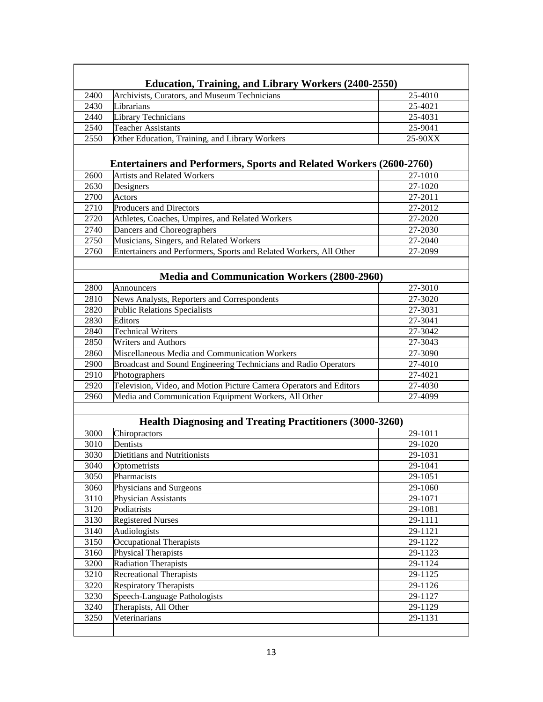|                                                                 | <b>Education, Training, and Library Workers (2400-2550)</b>         |                    |  |
|-----------------------------------------------------------------|---------------------------------------------------------------------|--------------------|--|
| 2400                                                            | Archivists, Curators, and Museum Technicians                        | 25-4010            |  |
| 2430                                                            | Librarians                                                          | 25-4021            |  |
| 2440                                                            | <b>Library Technicians</b>                                          | 25-4031            |  |
| 2540                                                            | <b>Teacher Assistants</b>                                           | 25-9041            |  |
| 2550                                                            | Other Education, Training, and Library Workers                      | 25-90XX            |  |
|                                                                 |                                                                     |                    |  |
|                                                                 | Entertainers and Performers, Sports and Related Workers (2600-2760) |                    |  |
| 2600                                                            | <b>Artists and Related Workers</b>                                  | 27-1010            |  |
| 2630                                                            | Designers                                                           | 27-1020            |  |
| 2700                                                            | Actors                                                              | 27-2011            |  |
| 2710                                                            | <b>Producers and Directors</b>                                      | 27-2012            |  |
| 2720                                                            | Athletes, Coaches, Umpires, and Related Workers                     | 27-2020            |  |
| 2740                                                            | Dancers and Choreographers                                          | 27-2030            |  |
| 2750                                                            | Musicians, Singers, and Related Workers                             | 27-2040            |  |
| 2760                                                            | Entertainers and Performers, Sports and Related Workers, All Other  | 27-2099            |  |
|                                                                 |                                                                     |                    |  |
|                                                                 | <b>Media and Communication Workers (2800-2960)</b>                  |                    |  |
| 2800                                                            | Announcers                                                          | 27-3010            |  |
| 2810                                                            | News Analysts, Reporters and Correspondents                         | 27-3020            |  |
| 2820                                                            | <b>Public Relations Specialists</b>                                 | 27-3031            |  |
| 2830                                                            | Editors                                                             | 27-3041            |  |
| 2840                                                            | <b>Technical Writers</b>                                            | 27-3042            |  |
| 2850                                                            | <b>Writers and Authors</b>                                          | 27-3043            |  |
| 2860                                                            | Miscellaneous Media and Communication Workers                       | 27-3090            |  |
| 2900                                                            | Broadcast and Sound Engineering Technicians and Radio Operators     | 27-4010            |  |
| 2910                                                            | Photographers                                                       | 27-4021            |  |
| 2920                                                            | Television, Video, and Motion Picture Camera Operators and Editors  | 27-4030            |  |
| 2960                                                            | Media and Communication Equipment Workers, All Other                | 27-4099            |  |
|                                                                 |                                                                     |                    |  |
| <b>Health Diagnosing and Treating Practitioners (3000-3260)</b> |                                                                     |                    |  |
|                                                                 |                                                                     |                    |  |
| 3000                                                            | Chiropractors                                                       | 29-1011            |  |
| 3010<br>3030                                                    | Dentists<br>Dietitians and Nutritionists                            | 29-1020            |  |
| 3040                                                            |                                                                     | 29-1031<br>29-1041 |  |
| 3050                                                            | Optometrists<br>Pharmacists                                         | 29-1051            |  |
| 3060                                                            | Physicians and Surgeons                                             | 29-1060            |  |
| $\overline{3}110$                                               | Physician Assistants                                                | 29-1071            |  |
| 3120                                                            | Podiatrists                                                         | 29-1081            |  |
| 3130                                                            | <b>Registered Nurses</b>                                            | 29-1111            |  |
| 3140                                                            | Audiologists                                                        | 29-1121            |  |
| 3150                                                            | Occupational Therapists                                             | 29-1122            |  |
| 3160                                                            | Physical Therapists                                                 | 29-1123            |  |
| 3200                                                            | <b>Radiation Therapists</b>                                         | 29-1124            |  |
| 3210                                                            | <b>Recreational Therapists</b>                                      | 29-1125            |  |
| 3220                                                            | <b>Respiratory Therapists</b>                                       | 29-1126            |  |
| 3230                                                            | Speech-Language Pathologists                                        | 29-1127            |  |
| 3240                                                            | Therapists, All Other                                               | 29-1129            |  |
| 3250                                                            | Veterinarians                                                       | 29-1131            |  |
|                                                                 |                                                                     |                    |  |
|                                                                 |                                                                     |                    |  |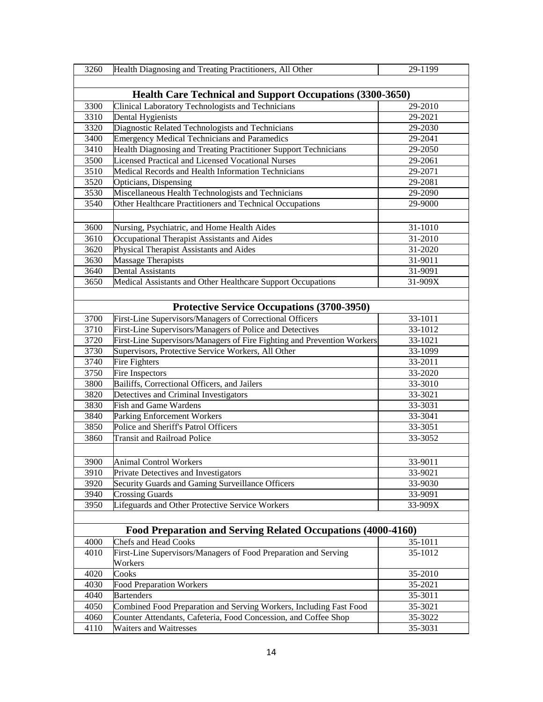| 3260                                                         | Health Diagnosing and Treating Practitioners, All Other                 | 29-1199 |
|--------------------------------------------------------------|-------------------------------------------------------------------------|---------|
|                                                              |                                                                         |         |
|                                                              | <b>Health Care Technical and Support Occupations (3300-3650)</b>        |         |
| 3300                                                         | Clinical Laboratory Technologists and Technicians                       | 29-2010 |
| 3310                                                         | Dental Hygienists                                                       | 29-2021 |
| 3320                                                         | Diagnostic Related Technologists and Technicians                        | 29-2030 |
| 3400                                                         | <b>Emergency Medical Technicians and Paramedics</b>                     | 29-2041 |
| 3410                                                         | Health Diagnosing and Treating Practitioner Support Technicians         | 29-2050 |
| 3500                                                         | Licensed Practical and Licensed Vocational Nurses                       | 29-2061 |
| 3510                                                         | Medical Records and Health Information Technicians                      | 29-2071 |
| 3520                                                         | Opticians, Dispensing                                                   | 29-2081 |
| 3530                                                         | Miscellaneous Health Technologists and Technicians                      | 29-2090 |
| 3540                                                         | Other Healthcare Practitioners and Technical Occupations                | 29-9000 |
|                                                              |                                                                         |         |
| 3600                                                         | Nursing, Psychiatric, and Home Health Aides                             | 31-1010 |
| 3610                                                         | Occupational Therapist Assistants and Aides                             | 31-2010 |
| 3620                                                         | Physical Therapist Assistants and Aides                                 | 31-2020 |
| 3630                                                         | Massage Therapists                                                      | 31-9011 |
| 3640                                                         | Dental Assistants                                                       | 31-9091 |
| 3650                                                         | Medical Assistants and Other Healthcare Support Occupations             | 31-909X |
|                                                              |                                                                         |         |
|                                                              |                                                                         |         |
|                                                              | <b>Protective Service Occupations (3700-3950)</b>                       |         |
| 3700                                                         | First-Line Supervisors/Managers of Correctional Officers                | 33-1011 |
| 3710                                                         | First-Line Supervisors/Managers of Police and Detectives                | 33-1012 |
| 3720                                                         | First-Line Supervisors/Managers of Fire Fighting and Prevention Workers | 33-1021 |
| 3730                                                         | Supervisors, Protective Service Workers, All Other                      | 33-1099 |
| 3740                                                         | Fire Fighters                                                           | 33-2011 |
| 3750                                                         | Fire Inspectors                                                         | 33-2020 |
| 3800                                                         | Bailiffs, Correctional Officers, and Jailers                            | 33-3010 |
| 3820                                                         | Detectives and Criminal Investigators                                   | 33-3021 |
| 3830                                                         | <b>Fish and Game Wardens</b>                                            | 33-3031 |
| 3840                                                         | Parking Enforcement Workers                                             | 33-3041 |
| 3850                                                         | Police and Sheriff's Patrol Officers                                    | 33-3051 |
| 3860                                                         | <b>Transit and Railroad Police</b>                                      | 33-3052 |
|                                                              |                                                                         |         |
| 3900                                                         | Animal Control Workers                                                  | 33-9011 |
| 3910                                                         | Private Detectives and Investigators                                    | 33-9021 |
| 3920                                                         | Security Guards and Gaming Surveillance Officers                        | 33-9030 |
| 3940                                                         | <b>Crossing Guards</b>                                                  | 33-9091 |
| 3950                                                         | Lifeguards and Other Protective Service Workers                         | 33-909X |
|                                                              |                                                                         |         |
| Food Preparation and Serving Related Occupations (4000-4160) |                                                                         |         |
| 4000                                                         | <b>Chefs and Head Cooks</b>                                             | 35-1011 |
| 4010                                                         | First-Line Supervisors/Managers of Food Preparation and Serving         | 35-1012 |
|                                                              | Workers                                                                 |         |
| 4020                                                         | Cooks                                                                   | 35-2010 |
| 4030                                                         | <b>Food Preparation Workers</b>                                         | 35-2021 |
| 4040                                                         | <b>Bartenders</b>                                                       | 35-3011 |
| 4050                                                         | Combined Food Preparation and Serving Workers, Including Fast Food      | 35-3021 |
| 4060                                                         | Counter Attendants, Cafeteria, Food Concession, and Coffee Shop         | 35-3022 |
| 4110                                                         | Waiters and Waitresses                                                  | 35-3031 |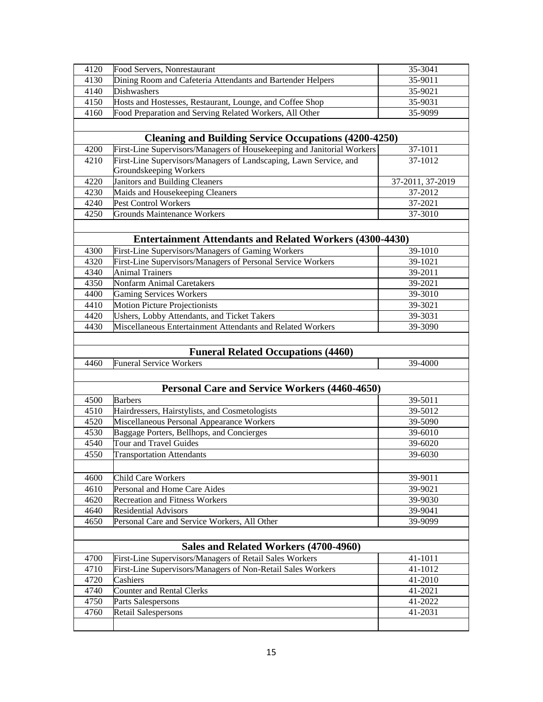| 4120 | Food Servers, Nonrestaurant                                            | 35-3041          |  |
|------|------------------------------------------------------------------------|------------------|--|
| 4130 | Dining Room and Cafeteria Attendants and Bartender Helpers             | 35-9011          |  |
| 4140 | <b>Dishwashers</b>                                                     | 35-9021          |  |
| 4150 | Hosts and Hostesses, Restaurant, Lounge, and Coffee Shop               | 35-9031          |  |
| 4160 | Food Preparation and Serving Related Workers, All Other                | 35-9099          |  |
|      |                                                                        |                  |  |
|      |                                                                        |                  |  |
|      | <b>Cleaning and Building Service Occupations (4200-4250)</b>           |                  |  |
| 4200 | First-Line Supervisors/Managers of Housekeeping and Janitorial Workers | 37-1011          |  |
| 4210 | First-Line Supervisors/Managers of Landscaping, Lawn Service, and      | 37-1012          |  |
|      | Groundskeeping Workers                                                 |                  |  |
| 4220 | Janitors and Building Cleaners                                         | 37-2011, 37-2019 |  |
| 4230 | Maids and Housekeeping Cleaners                                        | 37-2012          |  |
| 4240 | Pest Control Workers                                                   | 37-2021          |  |
| 4250 | <b>Grounds Maintenance Workers</b>                                     | 37-3010          |  |
|      |                                                                        |                  |  |
|      | <b>Entertainment Attendants and Related Workers (4300-4430)</b>        |                  |  |
| 4300 | First-Line Supervisors/Managers of Gaming Workers                      | 39-1010          |  |
| 4320 | First-Line Supervisors/Managers of Personal Service Workers            | 39-1021          |  |
|      |                                                                        |                  |  |
| 4340 | <b>Animal Trainers</b>                                                 | 39-2011          |  |
| 4350 | <b>Nonfarm Animal Caretakers</b>                                       | 39-2021          |  |
| 4400 | <b>Gaming Services Workers</b>                                         | 39-3010          |  |
| 4410 | <b>Motion Picture Projectionists</b>                                   | 39-3021          |  |
| 4420 | Ushers, Lobby Attendants, and Ticket Takers                            | 39-3031          |  |
| 4430 | Miscellaneous Entertainment Attendants and Related Workers             | 39-3090          |  |
|      |                                                                        |                  |  |
|      |                                                                        |                  |  |
|      |                                                                        |                  |  |
|      | <b>Funeral Related Occupations (4460)</b>                              |                  |  |
| 4460 | <b>Funeral Service Workers</b>                                         | 39-4000          |  |
|      |                                                                        |                  |  |
|      | Personal Care and Service Workers (4460-4650)                          |                  |  |
| 4500 | <b>Barbers</b>                                                         | 39-5011          |  |
| 4510 | Hairdressers, Hairstylists, and Cosmetologists                         | 39-5012          |  |
| 4520 | Miscellaneous Personal Appearance Workers                              | 39-5090          |  |
| 4530 | Baggage Porters, Bellhops, and Concierges                              | 39-6010          |  |
| 4540 | Tour and Travel Guides                                                 | 39-6020          |  |
| 4550 | <b>Transportation Attendants</b>                                       | 39-6030          |  |
|      |                                                                        |                  |  |
|      | <b>Child Care Workers</b>                                              |                  |  |
| 4600 |                                                                        | 39-9011          |  |
| 4610 | Personal and Home Care Aides                                           | 39-9021          |  |
| 4620 | <b>Recreation and Fitness Workers</b>                                  | 39-9030          |  |
| 4640 | <b>Residential Advisors</b>                                            | 39-9041          |  |
| 4650 | Personal Care and Service Workers, All Other                           | 39-9099          |  |
|      |                                                                        |                  |  |
|      | Sales and Related Workers (4700-4960)                                  |                  |  |
| 4700 | First-Line Supervisors/Managers of Retail Sales Workers                | 41-1011          |  |
| 4710 | First-Line Supervisors/Managers of Non-Retail Sales Workers            | 41-1012          |  |
| 4720 | Cashiers                                                               | 41-2010          |  |
| 4740 | <b>Counter and Rental Clerks</b>                                       | 41-2021          |  |
| 4750 | Parts Salespersons                                                     | 41-2022          |  |
| 4760 | <b>Retail Salespersons</b>                                             | 41-2031          |  |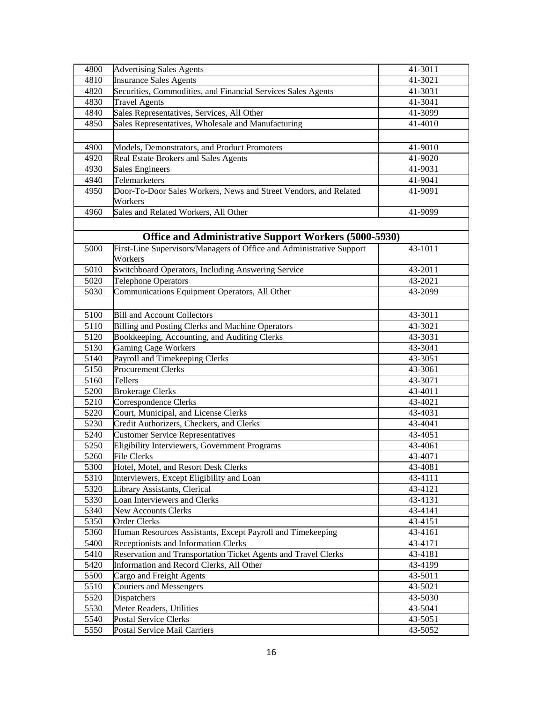| 4800              | <b>Advertising Sales Agents</b>                                      | 41-3011 |
|-------------------|----------------------------------------------------------------------|---------|
| 4810              | <b>Insurance Sales Agents</b>                                        | 41-3021 |
| 4820              | Securities, Commodities, and Financial Services Sales Agents         | 41-3031 |
| 4830              | <b>Travel Agents</b>                                                 | 41-3041 |
| 4840              | Sales Representatives, Services, All Other                           | 41-3099 |
| 4850              | Sales Representatives, Wholesale and Manufacturing                   | 41-4010 |
|                   |                                                                      |         |
| 4900              | Models, Demonstrators, and Product Promoters                         | 41-9010 |
| 4920              | Real Estate Brokers and Sales Agents                                 | 41-9020 |
| 4930              | Sales Engineers                                                      | 41-9031 |
| 4940              | Telemarketers                                                        | 41-9041 |
| 4950              | Door-To-Door Sales Workers, News and Street Vendors, and Related     | 41-9091 |
|                   | Workers                                                              |         |
| 4960              | Sales and Related Workers, All Other                                 | 41-9099 |
|                   |                                                                      |         |
|                   | Office and Administrative Support Workers (5000-5930)                |         |
| 5000              | First-Line Supervisors/Managers of Office and Administrative Support | 43-1011 |
|                   | Workers                                                              |         |
| 5010              | Switchboard Operators, Including Answering Service                   | 43-2011 |
| $\overline{5020}$ | <b>Telephone Operators</b>                                           | 43-2021 |
| 5030              | Communications Equipment Operators, All Other                        | 43-2099 |
|                   |                                                                      |         |
| 5100              | <b>Bill and Account Collectors</b>                                   | 43-3011 |
| 5110              | Billing and Posting Clerks and Machine Operators                     | 43-3021 |
| 5120              | Bookkeeping, Accounting, and Auditing Clerks                         | 43-3031 |
| 5130              | <b>Gaming Cage Workers</b>                                           | 43-3041 |
| 5140              | Payroll and Timekeeping Clerks                                       | 43-3051 |
| 5150              | <b>Procurement Clerks</b>                                            | 43-3061 |
| 5160              | Tellers                                                              | 43-3071 |
| 5200              | <b>Brokerage Clerks</b>                                              | 43-4011 |
| 5210              | Correspondence Clerks                                                | 43-4021 |
| 5220              | Court, Municipal, and License Clerks                                 | 43-4031 |
| 5230              | Credit Authorizers, Checkers, and Clerks                             | 43-4041 |
| 5240              | <b>Customer Service Representatives</b>                              | 43-4051 |
| $\overline{5}250$ | Eligibility Interviewers, Government Programs                        | 43-4061 |
| 5260              | <b>File Clerks</b>                                                   | 43-4071 |
| 5300              | Hotel, Motel, and Resort Desk Clerks                                 | 43-4081 |
| 5310              | Interviewers, Except Eligibility and Loan                            | 43-4111 |
| 5320              | Library Assistants, Clerical                                         | 43-4121 |
| 5330              | Loan Interviewers and Clerks                                         | 43-4131 |
| 5340              | <b>New Accounts Clerks</b>                                           | 43-4141 |
| 5350              | <b>Order Clerks</b>                                                  | 43-4151 |
| 5360              | Human Resources Assistants, Except Payroll and Timekeeping           | 43-4161 |
| 5400              | Receptionists and Information Clerks                                 | 43-4171 |
| 5410              | Reservation and Transportation Ticket Agents and Travel Clerks       | 43-4181 |
| 5420              | Information and Record Clerks, All Other                             | 43-4199 |
| 5500              | Cargo and Freight Agents                                             | 43-5011 |
| 5510              | <b>Couriers and Messengers</b>                                       | 43-5021 |
| 5520              | Dispatchers                                                          | 43-5030 |
| 5530              | Meter Readers, Utilities                                             | 43-5041 |
| 5540              | <b>Postal Service Clerks</b>                                         | 43-5051 |
| 5550              | Postal Service Mail Carriers                                         | 43-5052 |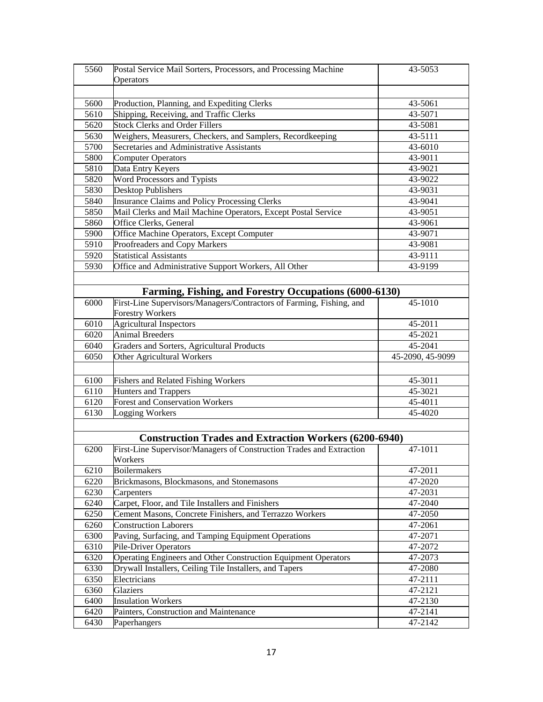| 5560 | Postal Service Mail Sorters, Processors, and Processing Machine      | 43-5053          |
|------|----------------------------------------------------------------------|------------------|
|      | Operators                                                            |                  |
|      |                                                                      |                  |
| 5600 | Production, Planning, and Expediting Clerks                          | 43-5061          |
| 5610 | Shipping, Receiving, and Traffic Clerks                              | 43-5071          |
| 5620 | <b>Stock Clerks and Order Fillers</b>                                | 43-5081          |
| 5630 | Weighers, Measurers, Checkers, and Samplers, Recordkeeping           | 43-5111          |
| 5700 | Secretaries and Administrative Assistants                            | 43-6010          |
| 5800 | <b>Computer Operators</b>                                            | 43-9011          |
| 5810 | Data Entry Keyers                                                    | 43-9021          |
| 5820 | Word Processors and Typists                                          | 43-9022          |
| 5830 | <b>Desktop Publishers</b>                                            | 43-9031          |
| 5840 | Insurance Claims and Policy Processing Clerks                        | 43-9041          |
| 5850 | Mail Clerks and Mail Machine Operators, Except Postal Service        | 43-9051          |
| 5860 | Office Clerks, General                                               | 43-9061          |
| 5900 | Office Machine Operators, Except Computer                            | 43-9071          |
| 5910 | Proofreaders and Copy Markers                                        | 43-9081          |
| 5920 | <b>Statistical Assistants</b>                                        | 43-9111          |
|      |                                                                      |                  |
| 5930 | Office and Administrative Support Workers, All Other                 | 43-9199          |
|      |                                                                      |                  |
|      | Farming, Fishing, and Forestry Occupations (6000-6130)               |                  |
| 6000 | First-Line Supervisors/Managers/Contractors of Farming, Fishing, and | 45-1010          |
|      | <b>Forestry Workers</b>                                              |                  |
| 6010 | <b>Agricultural Inspectors</b>                                       | 45-2011          |
| 6020 | <b>Animal Breeders</b>                                               | 45-2021          |
| 6040 | Graders and Sorters, Agricultural Products                           | 45-2041          |
| 6050 | Other Agricultural Workers                                           | 45-2090, 45-9099 |
|      |                                                                      |                  |
| 6100 | <b>Fishers and Related Fishing Workers</b>                           | 45-3011          |
| 6110 | <b>Hunters and Trappers</b>                                          | 45-3021          |
| 6120 | <b>Forest and Conservation Workers</b>                               | 45-4011          |
| 6130 | Logging Workers                                                      | 45-4020          |
|      |                                                                      |                  |
|      | <b>Construction Trades and Extraction Workers (6200-6940)</b>        |                  |
| 6200 | First-Line Supervisor/Managers of Construction Trades and Extraction | 47-1011          |
|      | Workers                                                              |                  |
| 6210 | <b>Boilermakers</b>                                                  | 47-2011          |
| 6220 | Brickmasons, Blockmasons, and Stonemasons                            | 47-2020          |
| 6230 | Carpenters                                                           | 47-2031          |
| 6240 | Carpet, Floor, and Tile Installers and Finishers                     | 47-2040          |
| 6250 | Cement Masons, Concrete Finishers, and Terrazzo Workers              | 47-2050          |
| 6260 | <b>Construction Laborers</b>                                         | 47-2061          |
| 6300 | Paving, Surfacing, and Tamping Equipment Operations                  | 47-2071          |
| 6310 | <b>Pile-Driver Operators</b>                                         | 47-2072          |
| 6320 | Operating Engineers and Other Construction Equipment Operators       | 47-2073          |
| 6330 | Drywall Installers, Ceiling Tile Installers, and Tapers              | 47-2080          |
| 6350 | Electricians                                                         | 47-2111          |
| 6360 | Glaziers                                                             | 47-2121          |
| 6400 | <b>Insulation Workers</b>                                            | 47-2130          |
| 6420 | Painters, Construction and Maintenance                               | 47-2141          |
|      |                                                                      |                  |
| 6430 | Paperhangers                                                         | 47-2142          |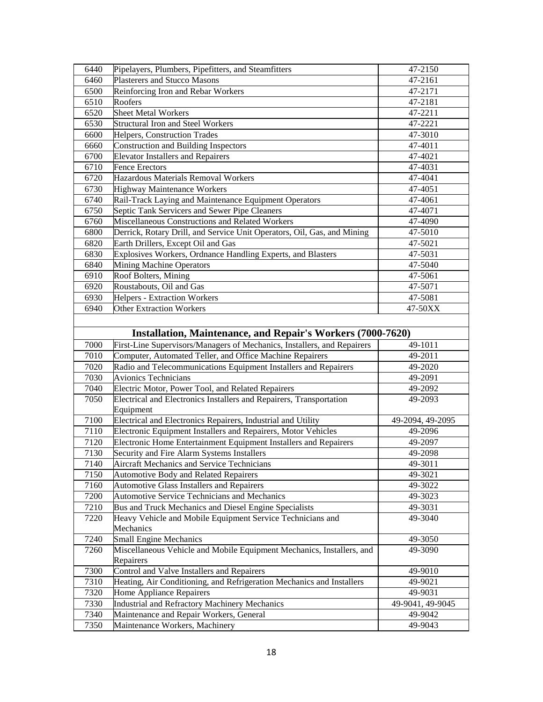| 6440         | Pipelayers, Plumbers, Pipefitters, and Steamfitters                       | 47-2150            |
|--------------|---------------------------------------------------------------------------|--------------------|
| 6460         | Plasterers and Stucco Masons                                              | 47-2161            |
| 6500         | Reinforcing Iron and Rebar Workers                                        | 47-2171            |
| 6510         | Roofers                                                                   | 47-2181            |
| 6520         | Sheet Metal Workers                                                       | 47-2211            |
| 6530         | <b>Structural Iron and Steel Workers</b>                                  | 47-2221            |
| 6600         | Helpers, Construction Trades                                              | 47-3010            |
| 6660         | <b>Construction and Building Inspectors</b>                               | 47-4011            |
| 6700         | <b>Elevator Installers and Repairers</b>                                  | 47-4021            |
| 6710         | <b>Fence Erectors</b>                                                     | 47-4031            |
| 6720         | Hazardous Materials Removal Workers                                       | 47-4041            |
| 6730         | Highway Maintenance Workers                                               | 47-4051            |
| 6740         | Rail-Track Laying and Maintenance Equipment Operators                     | 47-4061            |
| 6750         | Septic Tank Servicers and Sewer Pipe Cleaners                             | 47-4071            |
| 6760         | Miscellaneous Constructions and Related Workers                           | 47-4090            |
| 6800         | Derrick, Rotary Drill, and Service Unit Operators, Oil, Gas, and Mining   | 47-5010            |
| 6820         | Earth Drillers, Except Oil and Gas                                        | 47-5021            |
| 6830         | Explosives Workers, Ordnance Handling Experts, and Blasters               | 47-5031            |
| 6840         | <b>Mining Machine Operators</b>                                           | 47-5040            |
| 6910         | Roof Bolters, Mining                                                      | 47-5061            |
| 6920         | Roustabouts, Oil and Gas                                                  | 47-5071            |
| 6930         | Helpers - Extraction Workers                                              | 47-5081            |
| 6940         | <b>Other Extraction Workers</b>                                           | 47-50XX            |
|              |                                                                           |                    |
|              |                                                                           |                    |
|              | <b>Installation, Maintenance, and Repair's Workers (7000-7620)</b>        |                    |
| 7000         | First-Line Supervisors/Managers of Mechanics, Installers, and Repairers   | 49-1011            |
| 7010         | Computer, Automated Teller, and Office Machine Repairers                  | 49-2011            |
| 7020         | Radio and Telecommunications Equipment Installers and Repairers           | 49-2020            |
| 7030         | <b>Avionics Technicians</b>                                               | 49-2091            |
| 7040         | Electric Motor, Power Tool, and Related Repairers                         | 49-2092            |
| 7050         | Electrical and Electronics Installers and Repairers, Transportation       | 49-2093            |
|              | Equipment                                                                 |                    |
| 7100         | Electrical and Electronics Repairers, Industrial and Utility              | 49-2094, 49-2095   |
| 7110         | Electronic Equipment Installers and Repairers, Motor Vehicles             | 49-2096            |
| 7120         | Electronic Home Entertainment Equipment Installers and Repairers          | 49-2097            |
| 7130         | Security and Fire Alarm Systems Installers                                | 49-2098            |
| 7140         | Aircraft Mechanics and Service Technicians                                | 49-3011            |
| 7150         | <b>Automotive Body and Related Repairers</b>                              | 49-3021            |
| 7160         | <b>Automotive Glass Installers and Repairers</b>                          | 49-3022            |
| 7200         | Automotive Service Technicians and Mechanics                              | 49-3023            |
| 7210         | Bus and Truck Mechanics and Diesel Engine Specialists                     | 49-3031            |
| 7220         | Heavy Vehicle and Mobile Equipment Service Technicians and                | 49-3040            |
|              | Mechanics                                                                 |                    |
| 7240         | <b>Small Engine Mechanics</b>                                             | 49-3050            |
| 7260         | Miscellaneous Vehicle and Mobile Equipment Mechanics, Installers, and     | 49-3090            |
|              | Repairers                                                                 |                    |
| 7300         |                                                                           |                    |
|              | Control and Valve Installers and Repairers                                | 49-9010            |
| 7310         | Heating, Air Conditioning, and Refrigeration Mechanics and Installers     | 49-9021            |
| 7320         | Home Appliance Repairers                                                  | 49-9031            |
| 7330         | Industrial and Refractory Machinery Mechanics                             | 49-9041, 49-9045   |
| 7340<br>7350 | Maintenance and Repair Workers, General<br>Maintenance Workers, Machinery | 49-9042<br>49-9043 |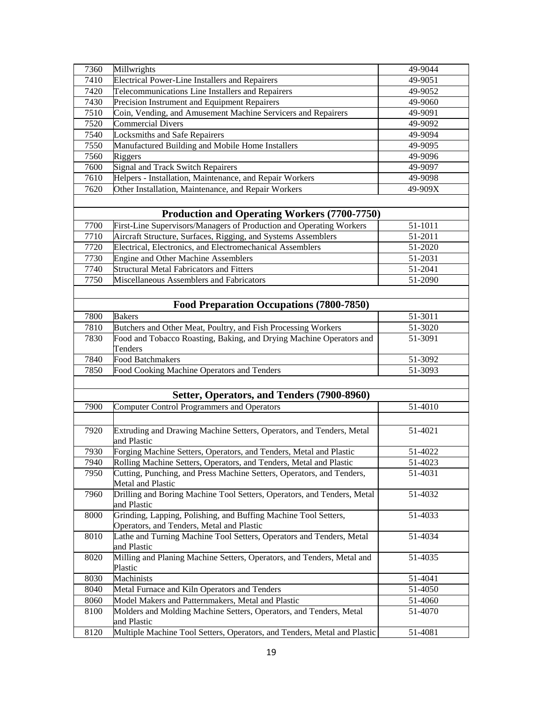| 7360 | Millwrights                                                                                | 49-9044 |
|------|--------------------------------------------------------------------------------------------|---------|
| 7410 | Electrical Power-Line Installers and Repairers                                             | 49-9051 |
| 7420 | Telecommunications Line Installers and Repairers                                           | 49-9052 |
| 7430 | Precision Instrument and Equipment Repairers                                               | 49-9060 |
| 7510 | Coin, Vending, and Amusement Machine Servicers and Repairers                               | 49-9091 |
| 7520 | <b>Commercial Divers</b>                                                                   | 49-9092 |
| 7540 | <b>Locksmiths and Safe Repairers</b>                                                       | 49-9094 |
| 7550 | Manufactured Building and Mobile Home Installers                                           | 49-9095 |
| 7560 | <b>Riggers</b>                                                                             | 49-9096 |
| 7600 | Signal and Track Switch Repairers                                                          | 49-9097 |
| 7610 | Helpers - Installation, Maintenance, and Repair Workers                                    | 49-9098 |
| 7620 | Other Installation, Maintenance, and Repair Workers                                        | 49-909X |
|      |                                                                                            |         |
|      |                                                                                            |         |
|      | <b>Production and Operating Workers (7700-7750)</b>                                        |         |
| 7700 | First-Line Supervisors/Managers of Production and Operating Workers                        | 51-1011 |
| 7710 | Aircraft Structure, Surfaces, Rigging, and Systems Assemblers                              | 51-2011 |
| 7720 | Electrical, Electronics, and Electromechanical Assemblers                                  | 51-2020 |
| 7730 | <b>Engine and Other Machine Assemblers</b>                                                 | 51-2031 |
| 7740 | <b>Structural Metal Fabricators and Fitters</b>                                            | 51-2041 |
| 7750 | Miscellaneous Assemblers and Fabricators                                                   | 51-2090 |
|      |                                                                                            |         |
|      | Food Preparation Occupations (7800-7850)                                                   |         |
| 7800 | <b>Bakers</b>                                                                              | 51-3011 |
|      |                                                                                            |         |
| 7810 | Butchers and Other Meat, Poultry, and Fish Processing Workers                              | 51-3020 |
| 7830 | Food and Tobacco Roasting, Baking, and Drying Machine Operators and<br>Tenders             | 51-3091 |
| 7840 | <b>Food Batchmakers</b>                                                                    | 51-3092 |
| 7850 | Food Cooking Machine Operators and Tenders                                                 | 51-3093 |
|      |                                                                                            |         |
|      | Setter, Operators, and Tenders (7900-8960)                                                 |         |
| 7900 | Computer Control Programmers and Operators                                                 | 51-4010 |
|      |                                                                                            |         |
|      |                                                                                            |         |
| 7920 | Extruding and Drawing Machine Setters, Operators, and Tenders, Metal<br>and Plastic        | 51-4021 |
| 7930 | Forging Machine Setters, Operators, and Tenders, Metal and Plastic                         | 51-4022 |
| 7940 | Rolling Machine Setters, Operators, and Tenders, Metal and Plastic                         | 51-4023 |
| 7950 | Cutting, Punching, and Press Machine Setters, Operators, and Tenders,<br>Metal and Plastic | 51-4031 |
| 7960 | Drilling and Boring Machine Tool Setters, Operators, and Tenders, Metal                    | 51-4032 |
|      | and Plastic                                                                                |         |
| 8000 | Grinding, Lapping, Polishing, and Buffing Machine Tool Setters,                            | 51-4033 |
|      | Operators, and Tenders, Metal and Plastic                                                  |         |
| 8010 | Lathe and Turning Machine Tool Setters, Operators and Tenders, Metal                       | 51-4034 |
|      | and Plastic                                                                                |         |
| 8020 | Milling and Planing Machine Setters, Operators, and Tenders, Metal and<br>Plastic          | 51-4035 |
| 8030 | Machinists                                                                                 | 51-4041 |
| 8040 | Metal Furnace and Kiln Operators and Tenders                                               | 51-4050 |
| 8060 | Model Makers and Patternmakers, Metal and Plastic                                          | 51-4060 |
| 8100 | Molders and Molding Machine Setters, Operators, and Tenders, Metal                         | 51-4070 |
|      | and Plastic                                                                                |         |
| 8120 | Multiple Machine Tool Setters, Operators, and Tenders, Metal and Plastic                   | 51-4081 |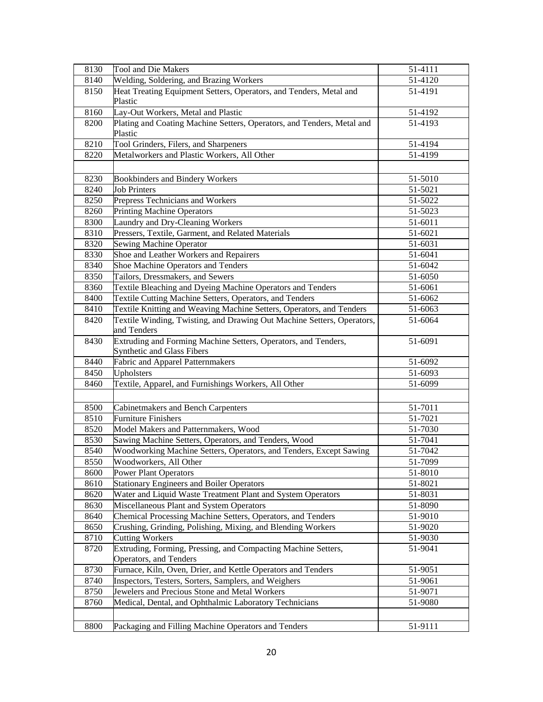| 8130 | Tool and Die Makers                                                    | 51-4111              |
|------|------------------------------------------------------------------------|----------------------|
| 8140 | Welding, Soldering, and Brazing Workers                                | 51-4120              |
| 8150 | Heat Treating Equipment Setters, Operators, and Tenders, Metal and     | 51-4191              |
|      | Plastic                                                                |                      |
| 8160 | Lay-Out Workers, Metal and Plastic                                     | 51-4192              |
| 8200 | Plating and Coating Machine Setters, Operators, and Tenders, Metal and | 51-4193              |
|      | Plastic                                                                |                      |
| 8210 | Tool Grinders, Filers, and Sharpeners                                  | $51-419\overline{4}$ |
| 8220 | Metalworkers and Plastic Workers, All Other                            | 51-4199              |
|      |                                                                        |                      |
| 8230 | Bookbinders and Bindery Workers                                        | 51-5010              |
| 8240 | <b>Job Printers</b>                                                    | 51-5021              |
| 8250 | Prepress Technicians and Workers                                       | 51-5022              |
| 8260 | <b>Printing Machine Operators</b>                                      | 51-5023              |
| 8300 | Laundry and Dry-Cleaning Workers                                       | 51-6011              |
| 8310 | Pressers, Textile, Garment, and Related Materials                      | 51-6021              |
| 8320 | Sewing Machine Operator                                                | 51-6031              |
| 8330 | Shoe and Leather Workers and Repairers                                 | 51-6041              |
| 8340 | Shoe Machine Operators and Tenders                                     | 51-6042              |
| 8350 | Tailors, Dressmakers, and Sewers                                       | 51-6050              |
| 8360 | Textile Bleaching and Dyeing Machine Operators and Tenders             | 51-6061              |
| 8400 | Textile Cutting Machine Setters, Operators, and Tenders                | 51-6062              |
| 8410 | Textile Knitting and Weaving Machine Setters, Operators, and Tenders   | 51-6063              |
| 8420 | Textile Winding, Twisting, and Drawing Out Machine Setters, Operators, | 51-6064              |
|      | and Tenders                                                            |                      |
| 8430 | Extruding and Forming Machine Setters, Operators, and Tenders,         | 51-6091              |
|      | Synthetic and Glass Fibers                                             |                      |
| 8440 | Fabric and Apparel Patternmakers                                       | 51-6092              |
| 8450 | Upholsters                                                             | 51-6093              |
| 8460 | Textile, Apparel, and Furnishings Workers, All Other                   | 51-6099              |
|      |                                                                        |                      |
|      |                                                                        |                      |
| 8500 | Cabinetmakers and Bench Carpenters<br><b>Furniture Finishers</b>       | 51-7011              |
| 8510 |                                                                        | 51-7021              |
| 8520 | Model Makers and Patternmakers, Wood                                   | 51-7030              |
| 8530 | Sawing Machine Setters, Operators, and Tenders, Wood                   | 51-7041              |
| 8540 | Woodworking Machine Setters, Operators, and Tenders, Except Sawing     | 51-7042              |
| 8550 | Woodworkers, All Other                                                 | 51-7099              |
| 8600 | <b>Power Plant Operators</b>                                           | 51-8010              |
| 8610 | <b>Stationary Engineers and Boiler Operators</b>                       | 51-8021              |
| 8620 | Water and Liquid Waste Treatment Plant and System Operators            | 51-8031              |
| 8630 | Miscellaneous Plant and System Operators                               | 51-8090              |
| 8640 | Chemical Processing Machine Setters, Operators, and Tenders            | 51-9010              |
| 8650 | Crushing, Grinding, Polishing, Mixing, and Blending Workers            | 51-9020              |
| 8710 | <b>Cutting Workers</b>                                                 | 51-9030              |
| 8720 | Extruding, Forming, Pressing, and Compacting Machine Setters,          | 51-9041              |
|      | Operators, and Tenders                                                 |                      |
| 8730 | Furnace, Kiln, Oven, Drier, and Kettle Operators and Tenders           | 51-9051              |
| 8740 | Inspectors, Testers, Sorters, Samplers, and Weighers                   | 51-9061              |
| 8750 | Jewelers and Precious Stone and Metal Workers                          | 51-9071              |
| 8760 | Medical, Dental, and Ophthalmic Laboratory Technicians                 | 51-9080              |
|      |                                                                        |                      |
| 8800 | Packaging and Filling Machine Operators and Tenders                    | 51-9111              |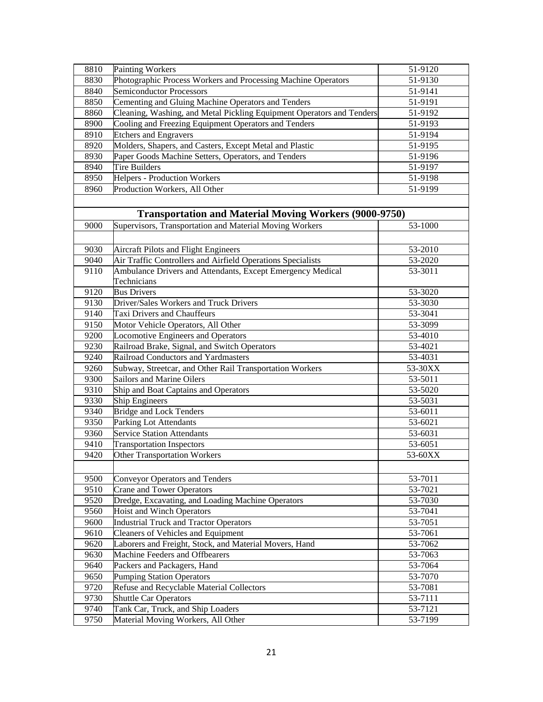| 8810 | <b>Painting Workers</b>                                               | 51-9120 |
|------|-----------------------------------------------------------------------|---------|
| 8830 | Photographic Process Workers and Processing Machine Operators         | 51-9130 |
| 8840 | <b>Semiconductor Processors</b>                                       | 51-9141 |
| 8850 | Cementing and Gluing Machine Operators and Tenders                    | 51-9191 |
| 8860 | Cleaning, Washing, and Metal Pickling Equipment Operators and Tenders | 51-9192 |
| 8900 | Cooling and Freezing Equipment Operators and Tenders                  | 51-9193 |
| 8910 | <b>Etchers</b> and Engravers                                          | 51-9194 |
| 8920 | Molders, Shapers, and Casters, Except Metal and Plastic               | 51-9195 |
| 8930 | Paper Goods Machine Setters, Operators, and Tenders                   | 51-9196 |
| 8940 | <b>Tire Builders</b>                                                  | 51-9197 |
| 8950 | <b>Helpers - Production Workers</b>                                   | 51-9198 |
| 8960 | Production Workers, All Other                                         | 51-9199 |
|      |                                                                       |         |
|      |                                                                       |         |
|      | <b>Transportation and Material Moving Workers (9000-9750)</b>         |         |
| 9000 | Supervisors, Transportation and Material Moving Workers               | 53-1000 |
|      |                                                                       |         |
| 9030 | Aircraft Pilots and Flight Engineers                                  | 53-2010 |
| 9040 | Air Traffic Controllers and Airfield Operations Specialists           | 53-2020 |
| 9110 | Ambulance Drivers and Attendants, Except Emergency Medical            | 53-3011 |
|      | Technicians                                                           |         |
| 9120 | <b>Bus Drivers</b>                                                    | 53-3020 |
| 9130 | Driver/Sales Workers and Truck Drivers                                | 53-3030 |
| 9140 | Taxi Drivers and Chauffeurs                                           | 53-3041 |
| 9150 | Motor Vehicle Operators, All Other                                    | 53-3099 |
| 9200 | Locomotive Engineers and Operators                                    | 53-4010 |
| 9230 | Railroad Brake, Signal, and Switch Operators                          | 53-4021 |
| 9240 | Railroad Conductors and Yardmasters                                   | 53-4031 |
| 9260 | Subway, Streetcar, and Other Rail Transportation Workers              | 53-30XX |
| 9300 | <b>Sailors and Marine Oilers</b>                                      | 53-5011 |
| 9310 | Ship and Boat Captains and Operators                                  | 53-5020 |
| 9330 | Ship Engineers                                                        | 53-5031 |
| 9340 | <b>Bridge and Lock Tenders</b>                                        | 53-6011 |
| 9350 | <b>Parking Lot Attendants</b>                                         | 53-6021 |
| 9360 | Service Station Attendants                                            | 53-6031 |
| 9410 | <b>Transportation Inspectors</b>                                      | 53-6051 |
| 9420 | <b>Other Transportation Workers</b>                                   | 53-60XX |
|      |                                                                       |         |
| 9500 | <b>Conveyor Operators and Tenders</b>                                 | 53-7011 |
| 9510 | <b>Crane and Tower Operators</b>                                      | 53-7021 |
| 9520 | Dredge, Excavating, and Loading Machine Operators                     | 53-7030 |
| 9560 | <b>Hoist and Winch Operators</b>                                      | 53-7041 |
| 9600 | Industrial Truck and Tractor Operators                                | 53-7051 |
| 9610 | <b>Cleaners of Vehicles and Equipment</b>                             | 53-7061 |
| 9620 | Laborers and Freight, Stock, and Material Movers, Hand                | 53-7062 |
| 9630 | Machine Feeders and Offbearers                                        | 53-7063 |
| 9640 | Packers and Packagers, Hand                                           | 53-7064 |
| 9650 | Pumping Station Operators                                             | 53-7070 |
| 9720 | Refuse and Recyclable Material Collectors                             | 53-7081 |
| 9730 | Shuttle Car Operators                                                 | 53-7111 |
| 9740 | Tank Car, Truck, and Ship Loaders                                     | 53-7121 |
| 9750 |                                                                       | 53-7199 |
|      | Material Moving Workers, All Other                                    |         |